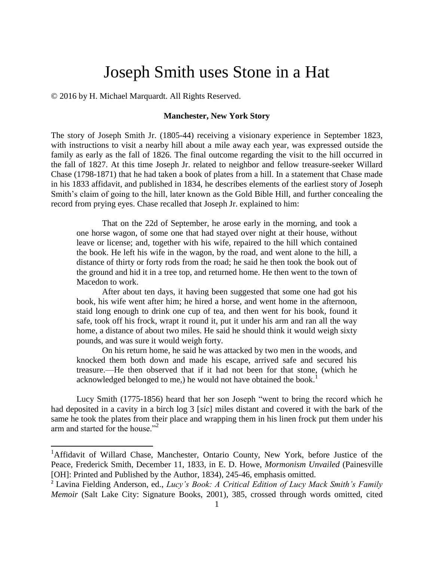# Joseph Smith uses Stone in a Hat

© 2016 by H. Michael Marquardt. All Rights Reserved.

 $\overline{\phantom{a}}$ 

#### **Manchester, New York Story**

The story of Joseph Smith Jr. (1805-44) receiving a visionary experience in September 1823, with instructions to visit a nearby hill about a mile away each year, was expressed outside the family as early as the fall of 1826. The final outcome regarding the visit to the hill occurred in the fall of 1827. At this time Joseph Jr. related to neighbor and fellow treasure-seeker Willard Chase (1798-1871) that he had taken a book of plates from a hill. In a statement that Chase made in his 1833 affidavit, and published in 1834, he describes elements of the earliest story of Joseph Smith's claim of going to the hill, later known as the Gold Bible Hill, and further concealing the record from prying eyes. Chase recalled that Joseph Jr. explained to him:

That on the 22d of September, he arose early in the morning, and took a one horse wagon, of some one that had stayed over night at their house, without leave or license; and, together with his wife, repaired to the hill which contained the book. He left his wife in the wagon, by the road, and went alone to the hill, a distance of thirty or forty rods from the road; he said he then took the book out of the ground and hid it in a tree top, and returned home. He then went to the town of Macedon to work.

After about ten days, it having been suggested that some one had got his book, his wife went after him; he hired a horse, and went home in the afternoon, staid long enough to drink one cup of tea, and then went for his book, found it safe, took off his frock, wrapt it round it, put it under his arm and ran all the way home, a distance of about two miles. He said he should think it would weigh sixty pounds, and was sure it would weigh forty.

On his return home, he said he was attacked by two men in the woods, and knocked them both down and made his escape, arrived safe and secured his treasure.—He then observed that if it had not been for that stone, (which he acknowledged belonged to me,) he would not have obtained the book.<sup>1</sup>

Lucy Smith (1775-1856) heard that her son Joseph "went to bring the record which he had deposited in a cavity in a birch log 3 [*sic*] miles distant and covered it with the bark of the same he took the plates from their place and wrapping them in his linen frock put them under his arm and started for the house."<sup>2</sup>

<sup>&</sup>lt;sup>1</sup>Affidavit of Willard Chase, Manchester, Ontario County, New York, before Justice of the Peace, Frederick Smith, December 11, 1833, in E. D. Howe, *Mormonism Unvailed* (Painesville [OH]: Printed and Published by the Author, 1834), 245-46, emphasis omitted.

<sup>2</sup> Lavina Fielding Anderson, ed., *Lucy's Book: A Critical Edition of Lucy Mack Smith's Family Memoir* (Salt Lake City: Signature Books, 2001), 385, crossed through words omitted, cited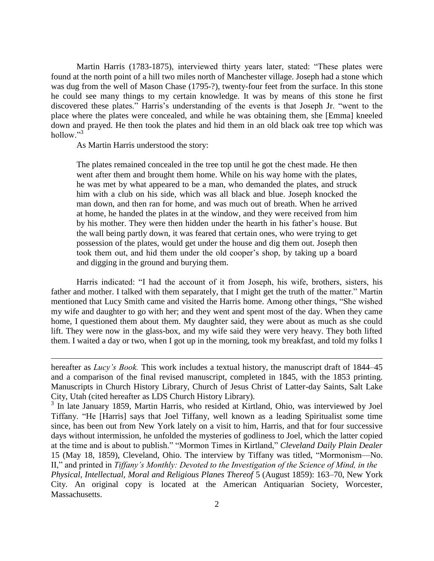Martin Harris (1783-1875), interviewed thirty years later, stated: "These plates were found at the north point of a hill two miles north of Manchester village. Joseph had a stone which was dug from the well of Mason Chase (1795-?), twenty-four feet from the surface. In this stone he could see many things to my certain knowledge. It was by means of this stone he first discovered these plates." Harris's understanding of the events is that Joseph Jr. "went to the place where the plates were concealed, and while he was obtaining them, she [Emma] kneeled down and prayed. He then took the plates and hid them in an old black oak tree top which was hollow."<sup>3</sup>

As Martin Harris understood the story:

l

The plates remained concealed in the tree top until he got the chest made. He then went after them and brought them home. While on his way home with the plates, he was met by what appeared to be a man, who demanded the plates, and struck him with a club on his side, which was all black and blue. Joseph knocked the man down, and then ran for home, and was much out of breath. When he arrived at home, he handed the plates in at the window, and they were received from him by his mother. They were then hidden under the hearth in his father's house. But the wall being partly down, it was feared that certain ones, who were trying to get possession of the plates, would get under the house and dig them out. Joseph then took them out, and hid them under the old cooper's shop, by taking up a board and digging in the ground and burying them.

Harris indicated: "I had the account of it from Joseph, his wife, brothers, sisters, his father and mother. I talked with them separately, that I might get the truth of the matter." Martin mentioned that Lucy Smith came and visited the Harris home. Among other things, "She wished my wife and daughter to go with her; and they went and spent most of the day. When they came home, I questioned them about them. My daughter said, they were about as much as she could lift. They were now in the glass-box, and my wife said they were very heavy. They both lifted them. I waited a day or two, when I got up in the morning, took my breakfast, and told my folks I

hereafter as *Lucy's Book.* This work includes a textual history, the manuscript draft of 1844–45 and a comparison of the final revised manuscript, completed in 1845, with the 1853 printing. Manuscripts in Church History Library, Church of Jesus Christ of Latter-day Saints, Salt Lake City, Utah (cited hereafter as LDS Church History Library).

<sup>&</sup>lt;sup>3</sup> In late January 1859, Martin Harris, who resided at Kirtland, Ohio, was interviewed by Joel Tiffany. "He [Harris] says that Joel Tiffany, well known as a leading Spiritualist some time since, has been out from New York lately on a visit to him, Harris, and that for four successive days without intermission, he unfolded the mysteries of godliness to Joel, which the latter copied at the time and is about to publish." "Mormon Times in Kirtland," *Cleveland Daily Plain Dealer*  15 (May 18, 1859), Cleveland, Ohio. The interview by Tiffany was titled, "Mormonism—No. II," and printed in *Tiffany's Monthly: Devoted to the Investigation of the Science of Mind, in the Physical, Intellectual, Moral and Religious Planes Thereof* 5 (August 1859): 163–70, New York City. An original copy is located at the American Antiquarian Society, Worcester, Massachusetts.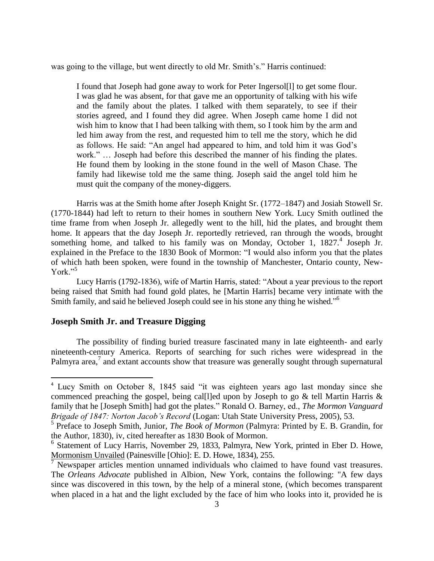was going to the village, but went directly to old Mr. Smith's." Harris continued:

I found that Joseph had gone away to work for Peter Ingersol[l] to get some flour. I was glad he was absent, for that gave me an opportunity of talking with his wife and the family about the plates. I talked with them separately, to see if their stories agreed, and I found they did agree. When Joseph came home I did not wish him to know that I had been talking with them, so I took him by the arm and led him away from the rest, and requested him to tell me the story, which he did as follows. He said: "An angel had appeared to him, and told him it was God's work." … Joseph had before this described the manner of his finding the plates. He found them by looking in the stone found in the well of Mason Chase. The family had likewise told me the same thing. Joseph said the angel told him he must quit the company of the money-diggers.

Harris was at the Smith home after Joseph Knight Sr. (1772–1847) and Josiah Stowell Sr. (1770-1844) had left to return to their homes in southern New York. Lucy Smith outlined the time frame from when Joseph Jr. allegedly went to the hill, hid the plates, and brought them home. It appears that the day Joseph Jr. reportedly retrieved, ran through the woods, brought something home, and talked to his family was on Monday, October 1, 1827.<sup>4</sup> Joseph Jr. explained in the Preface to the 1830 Book of Mormon: "I would also inform you that the plates of which hath been spoken, were found in the township of Manchester, Ontario county, New- $\text{York}$  "

Lucy Harris (1792-1836), wife of Martin Harris, stated: "About a year previous to the report being raised that Smith had found gold plates, he [Martin Harris] became very intimate with the Smith family, and said he believed Joseph could see in his stone any thing he wished."<sup>6</sup>

## **Joseph Smith Jr. and Treasure Digging**

 $\overline{a}$ 

The possibility of finding buried treasure fascinated many in late eighteenth- and early nineteenth-century America. Reports of searching for such riches were widespread in the Palmyra area, $\frac{7}{1}$  and extant accounts show that treasure was generally sought through supernatural

<sup>&</sup>lt;sup>4</sup> Lucy Smith on October 8, 1845 said "it was eighteen years ago last monday since she commenced preaching the gospel, being called upon by Joseph to go  $\&$  tell Martin Harris  $\&$ family that he [Joseph Smith] had got the plates." Ronald O. Barney, ed., *The Mormon Vanguard Brigade of 1847: Norton Jacob's Record* (Logan: Utah State University Press, 2005), 53. 5 Preface to Joseph Smith, Junior, *The Book of Mormon* (Palmyra: Printed by E. B. Grandin, for

the Author, 1830), iv, cited hereafter as 1830 Book of Mormon.

<sup>&</sup>lt;sup>6</sup> Statement of Lucy Harris, November 29, 1833, Palmyra, New York, printed in Eber D. Howe, Mormonism Unvailed (Painesville [Ohio]: E. D. Howe, 1834), 255.

 $\overline{7}$  Newspaper articles mention unnamed individuals who claimed to have found vast treasures. The *Orleans Advocate* published in Albion, New York, contains the following: "A few days since was discovered in this town, by the help of a mineral stone, (which becomes transparent when placed in a hat and the light excluded by the face of him who looks into it, provided he is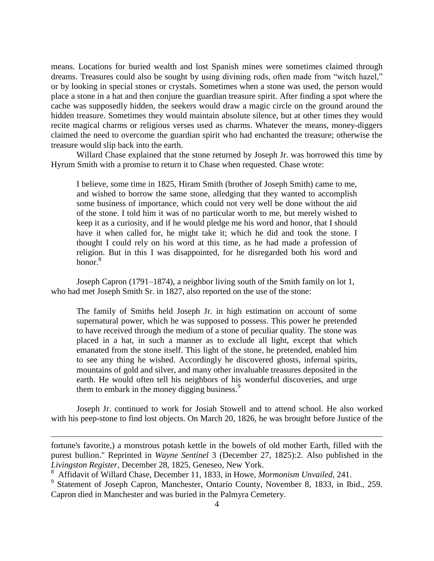means. Locations for buried wealth and lost Spanish mines were sometimes claimed through dreams. Treasures could also be sought by using divining rods, often made from "witch hazel," or by looking in special stones or crystals. Sometimes when a stone was used, the person would place a stone in a hat and then conjure the guardian treasure spirit. After finding a spot where the cache was supposedly hidden, the seekers would draw a magic circle on the ground around the hidden treasure. Sometimes they would maintain absolute silence, but at other times they would recite magical charms or religious verses used as charms. Whatever the means, money-diggers claimed the need to overcome the guardian spirit who had enchanted the treasure; otherwise the treasure would slip back into the earth.

Willard Chase explained that the stone returned by Joseph Jr. was borrowed this time by Hyrum Smith with a promise to return it to Chase when requested. Chase wrote:

I believe, some time in 1825, Hiram Smith (brother of Joseph Smith) came to me, and wished to borrow the same stone, alledging that they wanted to accomplish some business of importance, which could not very well be done without the aid of the stone. I told him it was of no particular worth to me, but merely wished to keep it as a curiosity, and if he would pledge me his word and honor, that I should have it when called for, he might take it; which he did and took the stone. I thought I could rely on his word at this time, as he had made a profession of religion. But in this I was disappointed, for he disregarded both his word and  $h$ onor. $8$ 

Joseph Capron (1791–1874), a neighbor living south of the Smith family on lot 1, who had met Joseph Smith Sr. in 1827, also reported on the use of the stone:

The family of Smiths held Joseph Jr. in high estimation on account of some supernatural power, which he was supposed to possess. This power he pretended to have received through the medium of a stone of peculiar quality. The stone was placed in a hat, in such a manner as to exclude all light, except that which emanated from the stone itself. This light of the stone, he pretended, enabled him to see any thing he wished. Accordingly he discovered ghosts, infernal spirits, mountains of gold and silver, and many other invaluable treasures deposited in the earth. He would often tell his neighbors of his wonderful discoveries, and urge them to embark in the money digging business.<sup>9</sup>

Joseph Jr. continued to work for Josiah Stowell and to attend school. He also worked with his peep-stone to find lost objects. On March 20, 1826, he was brought before Justice of the

 $\overline{\phantom{a}}$ 

fortune's favorite,) a monstrous potash kettle in the bowels of old mother Earth, filled with the purest bullion." Reprinted in *Wayne Sentinel* 3 (December 27, 1825):2. Also published in the *Livingston Register*, December 28, 1825, Geneseo, New York.

<sup>8</sup> Affidavit of Willard Chase, December 11, 1833, in Howe, *Mormonism Unvailed,* 241.

<sup>&</sup>lt;sup>9</sup> Statement of Joseph Capron, Manchester, Ontario County, November 8, 1833, in Ibid., 259. Capron died in Manchester and was buried in the Palmyra Cemetery.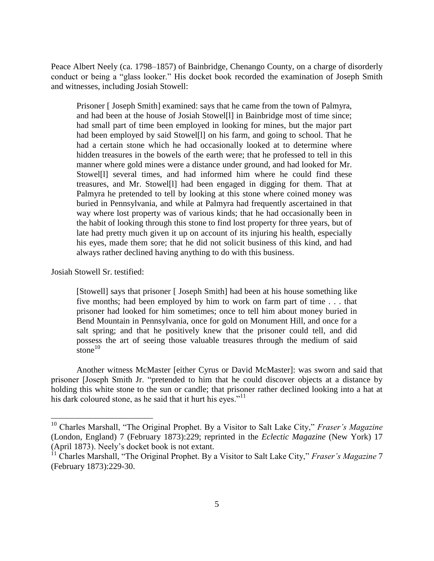Peace Albert Neely (ca. 1798–1857) of Bainbridge, Chenango County, on a charge of disorderly conduct or being a "glass looker." His docket book recorded the examination of Joseph Smith and witnesses, including Josiah Stowell:

Prisoner [ Joseph Smith] examined: says that he came from the town of Palmyra, and had been at the house of Josiah Stowel[l] in Bainbridge most of time since; had small part of time been employed in looking for mines, but the major part had been employed by said Stowel[l] on his farm, and going to school. That he had a certain stone which he had occasionally looked at to determine where hidden treasures in the bowels of the earth were; that he professed to tell in this manner where gold mines were a distance under ground, and had looked for Mr. Stowel[l] several times, and had informed him where he could find these treasures, and Mr. Stowel[l] had been engaged in digging for them. That at Palmyra he pretended to tell by looking at this stone where coined money was buried in Pennsylvania, and while at Palmyra had frequently ascertained in that way where lost property was of various kinds; that he had occasionally been in the habit of looking through this stone to find lost property for three years, but of late had pretty much given it up on account of its injuring his health, especially his eyes, made them sore; that he did not solicit business of this kind, and had always rather declined having anything to do with this business.

Josiah Stowell Sr. testified:

 $\overline{\phantom{a}}$ 

[Stowell] says that prisoner [ Joseph Smith] had been at his house something like five months; had been employed by him to work on farm part of time . . . that prisoner had looked for him sometimes; once to tell him about money buried in Bend Mountain in Pennsylvania, once for gold on Monument Hill, and once for a salt spring; and that he positively knew that the prisoner could tell, and did possess the art of seeing those valuable treasures through the medium of said stone $10$ 

Another witness McMaster [either Cyrus or David McMaster]: was sworn and said that prisoner [Joseph Smith Jr. "pretended to him that he could discover objects at a distance by holding this white stone to the sun or candle; that prisoner rather declined looking into a hat at his dark coloured stone, as he said that it hurt his eyes."<sup>11</sup>

<sup>10</sup> Charles Marshall, "The Original Prophet. By a Visitor to Salt Lake City," *Fraser's Magazine*  (London, England) 7 (February 1873):229; reprinted in the *Eclectic Magazine* (New York) 17 (April 1873). Neely's docket book is not extant.

<sup>11</sup> Charles Marshall, "The Original Prophet. By a Visitor to Salt Lake City," *Fraser's Magazine* 7 (February 1873):229-30.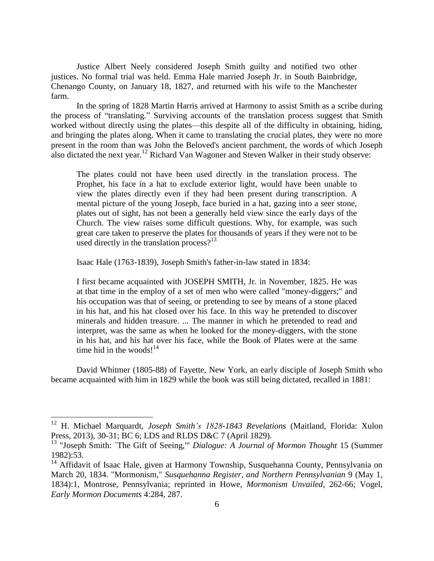Justice Albert Neely considered Joseph Smith guilty and notified two other justices. No formal trial was held. Emma Hale married Joseph Jr. in South Bainbridge, Chenango County, on January 18, 1827, and returned with his wife to the Manchester farm.

In the spring of 1828 Martin Harris arrived at Harmony to assist Smith as a scribe during the process of "translating." Surviving accounts of the translation process suggest that Smith worked without directly using the plates—this despite all of the difficulty in obtaining, hiding, and bringing the plates along. When it came to translating the crucial plates, they were no more present in the room than was John the Beloved's ancient parchment, the words of which Joseph also dictated the next year.<sup>12</sup> Richard Van Wagoner and Steven Walker in their study observe:

The plates could not have been used directly in the translation process. The Prophet, his face in a hat to exclude exterior light, would have been unable to view the plates directly even if they had been present during transcription. A mental picture of the young Joseph, face buried in a hat, gazing into a seer stone, plates out of sight, has not been a generally held view since the early days of the Church. The view raises some difficult questions. Why, for example, was such great care taken to preserve the plates for thousands of years if they were not to be used directly in the translation process? $13$ 

Isaac Hale (1763-1839), Joseph Smith's father-in-law stated in 1834:

I first became acquainted with JOSEPH SMITH, Jr. in November, 1825. He was at that time in the employ of a set of men who were called "money-diggers;" and his occupation was that of seeing, or pretending to see by means of a stone placed in his hat, and his hat closed over his face. In this way he pretended to discover minerals and hidden treasure. ... The manner in which he pretended to read and interpret, was the same as when he looked for the money-diggers, with the stone in his hat, and his hat over his face, while the Book of Plates were at the same time hid in the woods! $14$ 

David Whitmer (1805-88) of Fayette, New York, an early disciple of Joseph Smith who became acquainted with him in 1829 while the book was still being dictated, recalled in 1881:

 $\overline{a}$ 

<sup>12</sup> H. Michael Marquardt, *Joseph Smith's 1828-1843 Revelations* (Maitland, Florida: Xulon Press, 2013), 30-31; BC 6; LDS and RLDS D&C 7 (April 1829).

<sup>&</sup>lt;sup>13</sup> "Joseph Smith: `The Gift of Seeing,'" *Dialogue: A Journal of Mormon Thought* 15 (Summer 1982):53.

<sup>&</sup>lt;sup>14</sup> Affidavit of Isaac Hale, given at Harmony Township, Susquehanna County, Pennsylvania on March 20, 1834. "Mormonism," *Susquehanna Register, and Northern Pennsylvanian* 9 (May 1, 1834):1, Montrose, Pennsylvania; reprinted in Howe, *Mormonism Unvailed*, 262-66; Vogel, *Early Mormon Documents* 4:284, 287.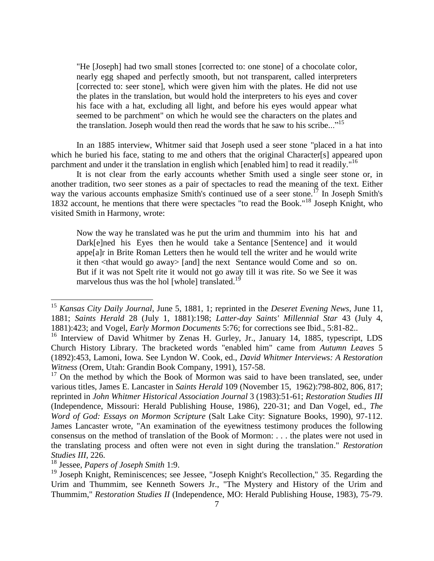"He [Joseph] had two small stones [corrected to: one stone] of a chocolate color, nearly egg shaped and perfectly smooth, but not transparent, called interpreters [corrected to: seer stone], which were given him with the plates. He did not use the plates in the translation, but would hold the interpreters to his eyes and cover his face with a hat, excluding all light, and before his eyes would appear what seemed to be parchment" on which he would see the characters on the plates and the translation. Joseph would then read the words that he saw to his scribe... $"^{15}$ 

In an 1885 interview, Whitmer said that Joseph used a seer stone "placed in a hat into which he buried his face, stating to me and others that the original Character<sup>[s]</sup> appeared upon parchment and under it the translation in english which [enabled him] to read it readily."<sup>16</sup>

It is not clear from the early accounts whether Smith used a single seer stone or, in another tradition, two seer stones as a pair of spectacles to read the meaning of the text. Either way the various accounts emphasize Smith's continued use of a seer stone.<sup>17</sup> In Joseph Smith's 1832 account, he mentions that there were spectacles "to read the Book."<sup>18</sup> Joseph Knight, who visited Smith in Harmony, wrote:

Now the way he translated was he put the urim and thummim into his hat and Dark[e]ned his Eyes then he would take a Sentance [Sentence] and it would appe[a]r in Brite Roman Letters then he would tell the writer and he would write it then <that would go away> [and] the next Sentance would Come and so on. But if it was not Spelt rite it would not go away till it was rite. So we See it was marvelous thus was the hol [whole] translated.<sup>19</sup>

 $\overline{\phantom{a}}$ 

<sup>15</sup> *Kansas City Daily Journal*, June 5, 1881, 1; reprinted in the *Deseret Evening News*, June 11, 1881; *Saints Herald* 28 (July 1, 1881):198; *Latter-day Saints' Millennial Star* 43 (July 4, 1881):423; and Vogel, *Early Mormon Documents* 5:76; for corrections see Ibid., 5:81-82..

<sup>&</sup>lt;sup>16</sup> Interview of David Whitmer by Zenas H. Gurley, Jr., January 14, 1885, typescript, LDS Church History Library. The bracketed words "enabled him" came from *Autumn Leaves* 5 (1892):453, Lamoni, Iowa. See Lyndon W. Cook, ed., *David Whitmer Interviews: A Restoration Witness* (Orem, Utah: Grandin Book Company, 1991), 157-58.

 $17$  On the method by which the Book of Mormon was said to have been translated, see, under various titles, James E. Lancaster in *Saints Herald* 109 (November 15, 1962):798-802, 806, 817; reprinted in *John Whitmer Historical Association Journal* 3 (1983):51-61; *Restoration Studies III* (Independence, Missouri: Herald Publishing House, 1986), 220-31; and Dan Vogel, ed., *The Word of God: Essays on Mormon Scripture* (Salt Lake City: Signature Books, 1990), 97-112. James Lancaster wrote, "An examination of the eyewitness testimony produces the following consensus on the method of translation of the Book of Mormon: . . . the plates were not used in the translating process and often were not even in sight during the translation." *Restoration Studies III*, 226.

<sup>18</sup> Jessee, *Papers of Joseph Smith* 1:9.

<sup>&</sup>lt;sup>19</sup> Joseph Knight, Reminiscences; see Jessee, "Joseph Knight's Recollection," 35. Regarding the Urim and Thummim, see Kenneth Sowers Jr., "The Mystery and History of the Urim and Thummim," *Restoration Studies II* (Independence, MO: Herald Publishing House, 1983), 75-79.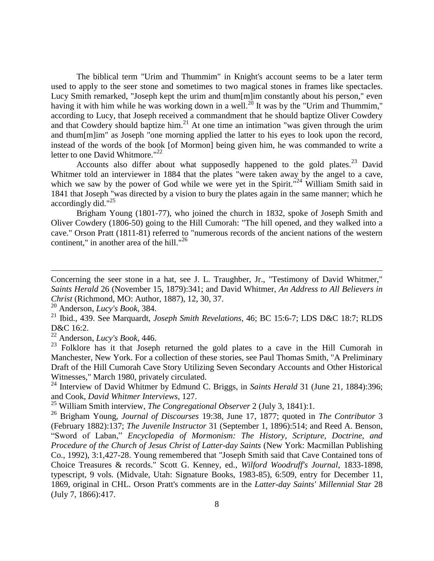The biblical term "Urim and Thummim" in Knight's account seems to be a later term used to apply to the seer stone and sometimes to two magical stones in frames like spectacles. Lucy Smith remarked, "Joseph kept the urim and thum[m]im constantly about his person," even having it with him while he was working down in a well.<sup>20</sup> It was by the "Urim and Thummim," according to Lucy, that Joseph received a commandment that he should baptize Oliver Cowdery and that Cowdery should baptize him.<sup>21</sup> At one time an intimation "was given through the urim and thum[m]im" as Joseph "one morning applied the latter to his eyes to look upon the record, instead of the words of the book [of Mormon] being given him, he was commanded to write a letter to one David Whitmore."<sup>22</sup>

Accounts also differ about what supposedly happened to the gold plates.<sup>23</sup> David Whitmer told an interviewer in 1884 that the plates "were taken away by the angel to a cave, which we saw by the power of God while we were yet in the Spirit."<sup>24</sup> William Smith said in 1841 that Joseph "was directed by a vision to bury the plates again in the same manner; which he accordingly did."<sup>25</sup>

Brigham Young (1801-77), who joined the church in 1832, spoke of Joseph Smith and Oliver Cowdery (1806-50) going to the Hill Cumorah: "The hill opened, and they walked into a cave." Orson Pratt (1811-81) referred to "numerous records of the ancient nations of the western continent," in another area of the hill."<sup>26</sup>

 $\overline{a}$ 

<sup>22</sup> Anderson, *Lucy's Book*, 446.

 $23$  Folklore has it that Joseph returned the gold plates to a cave in the Hill Cumorah in Manchester, New York. For a collection of these stories, see Paul Thomas Smith, "A Preliminary Draft of the Hill Cumorah Cave Story Utilizing Seven Secondary Accounts and Other Historical Witnesses," March 1980, privately circulated.

<sup>24</sup> Interview of David Whitmer by Edmund C. Briggs, in *Saints Herald* 31 (June 21, 1884):396; and Cook, *David Whitmer Interviews*, 127.

<sup>25</sup> William Smith interview, *The Congregational Observer* 2 (July 3, 1841):1.

<sup>26</sup> Brigham Young, *Journal of Discourses* 19:38, June 17, 1877; quoted in *The Contributor* 3 (February 1882):137; *The Juvenile Instructor* 31 (September 1, 1896):514; and Reed A. Benson, "Sword of Laban," *Encyclopedia of Mormonism: The History, Scripture, Doctrine, and Procedure of the Church of Jesus Christ of Latter-day Saints* (New York: Macmillan Publishing Co., 1992), 3:1,427-28. Young remembered that "Joseph Smith said that Cave Contained tons of Choice Treasures & records." Scott G. Kenney, ed., *Wilford Woodruff's Journal*, 1833-1898, typescript, 9 vols. (Midvale, Utah: Signature Books, 1983-85), 6:509, entry for December 11, 1869, original in CHL. Orson Pratt's comments are in the *Latter-day Saints' Millennial Star* 28 (July 7, 1866):417.

Concerning the seer stone in a hat, see J. L. Traughber, Jr., "Testimony of David Whitmer," *Saints Herald* 26 (November 15, 1879):341; and David Whitmer, *An Address to All Believers in Christ* (Richmond, MO: Author, 1887), 12, 30, 37.

<sup>20</sup> Anderson, *Lucy's Book*, 384.

<sup>21</sup> Ibid., 439. See Marquardt, *Joseph Smith Revelations*, 46; BC 15:6-7; LDS D&C 18:7; RLDS D&C 16:2.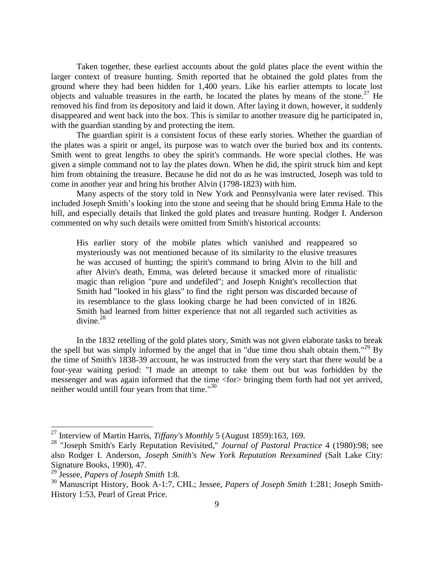Taken together, these earliest accounts about the gold plates place the event within the larger context of treasure hunting. Smith reported that he obtained the gold plates from the ground where they had been hidden for 1,400 years. Like his earlier attempts to locate lost objects and valuable treasures in the earth, he located the plates by means of the stone.<sup>27</sup> He removed his find from its depository and laid it down. After laying it down, however, it suddenly disappeared and went back into the box. This is similar to another treasure dig he participated in, with the guardian standing by and protecting the item.

The guardian spirit is a consistent focus of these early stories. Whether the guardian of the plates was a spirit or angel, its purpose was to watch over the buried box and its contents. Smith went to great lengths to obey the spirit's commands. He wore special clothes. He was given a simple command not to lay the plates down. When he did, the spirit struck him and kept him from obtaining the treasure. Because he did not do as he was instructed, Joseph was told to come in another year and bring his brother Alvin (1798-1823) with him.

Many aspects of the story told in New York and Pennsylvania were later revised. This included Joseph Smith's looking into the stone and seeing that he should bring Emma Hale to the hill, and especially details that linked the gold plates and treasure hunting. Rodger I. Anderson commented on why such details were omitted from Smith's historical accounts:

His earlier story of the mobile plates which vanished and reappeared so mysteriously was not mentioned because of its similarity to the elusive treasures he was accused of hunting; the spirit's command to bring Alvin to the hill and after Alvin's death, Emma, was deleted because it smacked more of ritualistic magic than religion "pure and undefiled"; and Joseph Knight's recollection that Smith had "looked in his glass" to find the right person was discarded because of its resemblance to the glass looking charge he had been convicted of in 1826. Smith had learned from bitter experience that not all regarded such activities as divine.<sup>28</sup>

In the 1832 retelling of the gold plates story, Smith was not given elaborate tasks to break the spell but was simply informed by the angel that in "due time thou shalt obtain them."<sup>29</sup> By the time of Smith's 1838-39 account, he was instructed from the very start that there would be a four-year waiting period: "I made an attempt to take them out but was forbidden by the messenger and was again informed that the time <for> bringing them forth had not yet arrived, neither would untill four years from that time."<sup>30</sup>

 $\overline{a}$ 

<sup>27</sup> Interview of Martin Harris, *Tiffany's Monthly* 5 (August 1859):163, 169.

<sup>28</sup> "Joseph Smith's Early Reputation Revisited," *Journal of Pastoral Practice* 4 (1980):98; see also Rodger I. Anderson, *Joseph Smith's New York Reputation Reexamined* (Salt Lake City: Signature Books, 1990), 47.

<sup>29</sup> Jessee, *Papers of Joseph Smith* 1:8.

<sup>30</sup> Manuscript History, Book A-1:7, CHL; Jessee, *Papers of Joseph Smith* 1:281; Joseph Smith-History 1:53, Pearl of Great Price.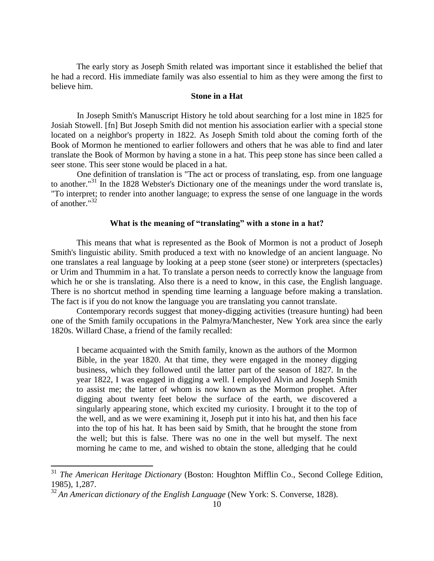The early story as Joseph Smith related was important since it established the belief that he had a record. His immediate family was also essential to him as they were among the first to believe him.

#### **Stone in a Hat**

In Joseph Smith's Manuscript History he told about searching for a lost mine in 1825 for Josiah Stowell. [fn] But Joseph Smith did not mention his association earlier with a special stone located on a neighbor's property in 1822. As Joseph Smith told about the coming forth of the Book of Mormon he mentioned to earlier followers and others that he was able to find and later translate the Book of Mormon by having a stone in a hat. This peep stone has since been called a seer stone. This seer stone would be placed in a hat.

One definition of translation is "The act or process of translating, esp. from one language to another."<sup>31</sup> In the 1828 Webster's Dictionary one of the meanings under the word translate is, "To interpret; to render into another language; to express the sense of one language in the words of another."<sup>32</sup>

## **What is the meaning of "translating" with a stone in a hat?**

This means that what is represented as the Book of Mormon is not a product of Joseph Smith's linguistic ability. Smith produced a text with no knowledge of an ancient language. No one translates a real language by looking at a peep stone (seer stone) or interpreters (spectacles) or Urim and Thummim in a hat. To translate a person needs to correctly know the language from which he or she is translating. Also there is a need to know, in this case, the English language. There is no shortcut method in spending time learning a language before making a translation. The fact is if you do not know the language you are translating you cannot translate.

Contemporary records suggest that money-digging activities (treasure hunting) had been one of the Smith family occupations in the Palmyra/Manchester, New York area since the early 1820s. Willard Chase, a friend of the family recalled:

I became acquainted with the Smith family, known as the authors of the Mormon Bible, in the year 1820. At that time, they were engaged in the money digging business, which they followed until the latter part of the season of 1827. In the year 1822, I was engaged in digging a well. I employed Alvin and Joseph Smith to assist me; the latter of whom is now known as the Mormon prophet. After digging about twenty feet below the surface of the earth, we discovered a singularly appearing stone, which excited my curiosity. I brought it to the top of the well, and as we were examining it, Joseph put it into his hat, and then his face into the top of his hat. It has been said by Smith, that he brought the stone from the well; but this is false. There was no one in the well but myself. The next morning he came to me, and wished to obtain the stone, alledging that he could

l

<sup>31</sup> *The American Heritage Dictionary* (Boston: Houghton Mifflin Co., Second College Edition, 1985), 1,287.

<sup>32</sup> *An American dictionary of the English Language* (New York: S. Converse, 1828).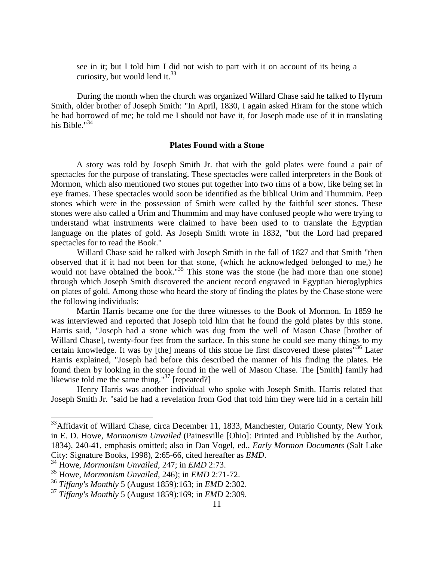see in it; but I told him I did not wish to part with it on account of its being a curiosity, but would lend it. $33$ 

During the month when the church was organized Willard Chase said he talked to Hyrum Smith, older brother of Joseph Smith: "In April, 1830, I again asked Hiram for the stone which he had borrowed of me; he told me I should not have it, for Joseph made use of it in translating his Bible."<sup>34</sup>

#### **Plates Found with a Stone**

A story was told by Joseph Smith Jr. that with the gold plates were found a pair of spectacles for the purpose of translating. These spectacles were called interpreters in the Book of Mormon, which also mentioned two stones put together into two rims of a bow, like being set in eye frames. These spectacles would soon be identified as the biblical Urim and Thummim. Peep stones which were in the possession of Smith were called by the faithful seer stones. These stones were also called a Urim and Thummim and may have confused people who were trying to understand what instruments were claimed to have been used to to translate the Egyptian language on the plates of gold. As Joseph Smith wrote in 1832, "but the Lord had prepared spectacles for to read the Book."

Willard Chase said he talked with Joseph Smith in the fall of 1827 and that Smith "then observed that if it had not been for that stone, (which he acknowledged belonged to me,) he would not have obtained the book."<sup>35</sup> This stone was the stone (he had more than one stone) through which Joseph Smith discovered the ancient record engraved in Egyptian hieroglyphics on plates of gold. Among those who heard the story of finding the plates by the Chase stone were the following individuals:

Martin Harris became one for the three witnesses to the Book of Mormon. In 1859 he was interviewed and reported that Joseph told him that he found the gold plates by this stone. Harris said, "Joseph had a stone which was dug from the well of Mason Chase [brother of Willard Chase], twenty-four feet from the surface. In this stone he could see many things to my certain knowledge. It was by [the] means of this stone he first discovered these plates"<sup>36</sup> Later Harris explained, "Joseph had before this described the manner of his finding the plates. He found them by looking in the stone found in the well of Mason Chase. The [Smith] family had likewise told me the same thing."<sup>37</sup> [repeated?]

Henry Harris was another individual who spoke with Joseph Smith. Harris related that Joseph Smith Jr. "said he had a revelation from God that told him they were hid in a certain hill

 $\overline{a}$ 

<sup>&</sup>lt;sup>33</sup>Affidavit of Willard Chase, circa December 11, 1833, Manchester, Ontario County, New York in E. D. Howe, *Mormonism Unvailed* (Painesville [Ohio]: Printed and Published by the Author, 1834), 240-41, emphasis omitted; also in Dan Vogel, ed., *Early Mormon Documents* (Salt Lake City: Signature Books, 1998), 2:65-66, cited hereafter as *EMD*.

<sup>34</sup> Howe, *Mormonism Unvailed*, 247; in *EMD* 2:73.

<sup>35</sup> Howe, *Mormonism Unvailed*, 246); in *EMD* 2:71-72.

<sup>36</sup> *Tiffany's Monthly* 5 (August 1859):163; in *EMD* 2:302.

<sup>37</sup> *Tiffany's Monthly* 5 (August 1859):169; in *EMD* 2:309.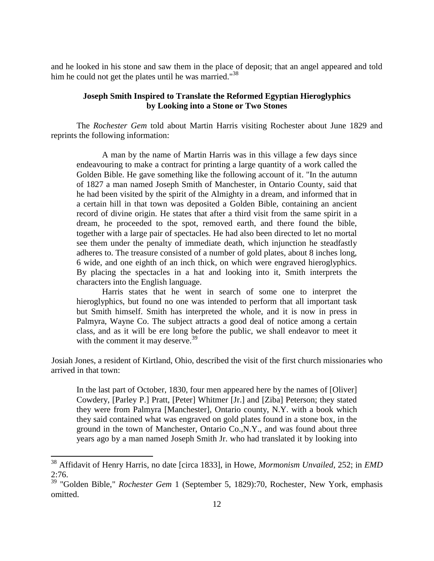and he looked in his stone and saw them in the place of deposit; that an angel appeared and told him he could not get the plates until he was married."<sup>38</sup>

## **Joseph Smith Inspired to Translate the Reformed Egyptian Hieroglyphics by Looking into a Stone or Two Stones**

The *Rochester Gem* told about Martin Harris visiting Rochester about June 1829 and reprints the following information:

A man by the name of Martin Harris was in this village a few days since endeavouring to make a contract for printing a large quantity of a work called the Golden Bible. He gave something like the following account of it. "In the autumn of 1827 a man named Joseph Smith of Manchester, in Ontario County, said that he had been visited by the spirit of the Almighty in a dream, and informed that in a certain hill in that town was deposited a Golden Bible, containing an ancient record of divine origin. He states that after a third visit from the same spirit in a dream, he proceeded to the spot, removed earth, and there found the bible, together with a large pair of spectacles. He had also been directed to let no mortal see them under the penalty of immediate death, which injunction he steadfastly adheres to. The treasure consisted of a number of gold plates, about 8 inches long, 6 wide, and one eighth of an inch thick, on which were engraved hieroglyphics. By placing the spectacles in a hat and looking into it, Smith interprets the characters into the English language.

Harris states that he went in search of some one to interpret the hieroglyphics, but found no one was intended to perform that all important task but Smith himself. Smith has interpreted the whole, and it is now in press in Palmyra, Wayne Co. The subject attracts a good deal of notice among a certain class, and as it will be ere long before the public, we shall endeavor to meet it with the comment it may deserve.<sup>39</sup>

Josiah Jones, a resident of Kirtland, Ohio, described the visit of the first church missionaries who arrived in that town:

In the last part of October, 1830, four men appeared here by the names of [Oliver] Cowdery, [Parley P.] Pratt, [Peter] Whitmer [Jr.] and [Ziba] Peterson; they stated they were from Palmyra [Manchester], Ontario county, N.Y. with a book which they said contained what was engraved on gold plates found in a stone box, in the ground in the town of Manchester, Ontario Co.,N.Y., and was found about three years ago by a man named Joseph Smith Jr. who had translated it by looking into

 $\overline{\phantom{a}}$ 

<sup>38</sup> Affidavit of Henry Harris, no date [circa 1833], in Howe, *Mormonism Unvailed*, 252; in *EMD* 2:76.

<sup>39</sup> "Golden Bible," *Rochester Gem* 1 (September 5, 1829):70, Rochester, New York, emphasis omitted.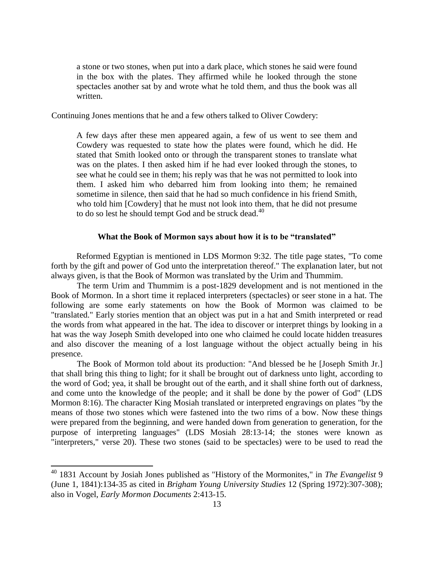a stone or two stones, when put into a dark place, which stones he said were found in the box with the plates. They affirmed while he looked through the stone spectacles another sat by and wrote what he told them, and thus the book was all written.

Continuing Jones mentions that he and a few others talked to Oliver Cowdery:

A few days after these men appeared again, a few of us went to see them and Cowdery was requested to state how the plates were found, which he did. He stated that Smith looked onto or through the transparent stones to translate what was on the plates. I then asked him if he had ever looked through the stones, to see what he could see in them; his reply was that he was not permitted to look into them. I asked him who debarred him from looking into them; he remained sometime in silence, then said that he had so much confidence in his friend Smith, who told him [Cowdery] that he must not look into them, that he did not presume to do so lest he should tempt God and be struck dead.<sup>40</sup>

#### **What the Book of Mormon says about how it is to be "translated"**

Reformed Egyptian is mentioned in LDS Mormon 9:32. The title page states, "To come forth by the gift and power of God unto the interpretation thereof." The explanation later, but not always given, is that the Book of Mormon was translated by the Urim and Thummim.

The term Urim and Thummim is a post-1829 development and is not mentioned in the Book of Mormon. In a short time it replaced interpreters (spectacles) or seer stone in a hat. The following are some early statements on how the Book of Mormon was claimed to be "translated." Early stories mention that an object was put in a hat and Smith interpreted or read the words from what appeared in the hat. The idea to discover or interpret things by looking in a hat was the way Joseph Smith developed into one who claimed he could locate hidden treasures and also discover the meaning of a lost language without the object actually being in his presence.

The Book of Mormon told about its production: "And blessed be he [Joseph Smith Jr.] that shall bring this thing to light; for it shall be brought out of darkness unto light, according to the word of God; yea, it shall be brought out of the earth, and it shall shine forth out of darkness, and come unto the knowledge of the people; and it shall be done by the power of God" (LDS Mormon 8:16). The character King Mosiah translated or interpreted engravings on plates "by the means of those two stones which were fastened into the two rims of a bow. Now these things were prepared from the beginning, and were handed down from generation to generation, for the purpose of interpreting languages" (LDS Mosiah 28:13-14; the stones were known as "interpreters," verse 20). These two stones (said to be spectacles) were to be used to read the

l

<sup>40</sup> 1831 Account by Josiah Jones published as "History of the Mormonites," in *The Evangelist* 9 (June 1, 1841):134-35 as cited in *Brigham Young University Studies* 12 (Spring 1972):307-308); also in Vogel, *Early Mormon Documents* 2:413-15.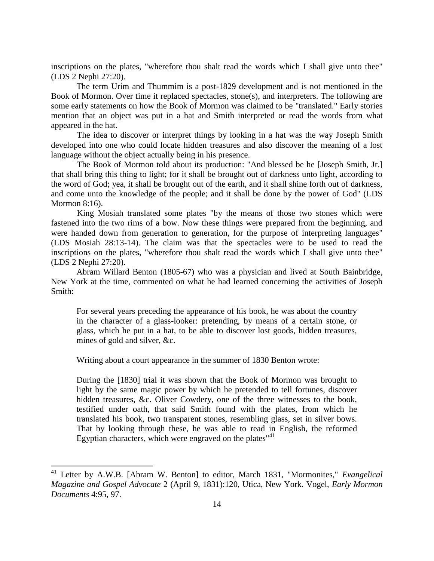inscriptions on the plates, "wherefore thou shalt read the words which I shall give unto thee" (LDS 2 Nephi 27:20).

The term Urim and Thummim is a post-1829 development and is not mentioned in the Book of Mormon. Over time it replaced spectacles, stone(s), and interpreters. The following are some early statements on how the Book of Mormon was claimed to be "translated." Early stories mention that an object was put in a hat and Smith interpreted or read the words from what appeared in the hat.

The idea to discover or interpret things by looking in a hat was the way Joseph Smith developed into one who could locate hidden treasures and also discover the meaning of a lost language without the object actually being in his presence.

The Book of Mormon told about its production: "And blessed be he [Joseph Smith, Jr.] that shall bring this thing to light; for it shall be brought out of darkness unto light, according to the word of God; yea, it shall be brought out of the earth, and it shall shine forth out of darkness, and come unto the knowledge of the people; and it shall be done by the power of God" (LDS Mormon 8:16).

King Mosiah translated some plates "by the means of those two stones which were fastened into the two rims of a bow. Now these things were prepared from the beginning, and were handed down from generation to generation, for the purpose of interpreting languages" (LDS Mosiah 28:13-14). The claim was that the spectacles were to be used to read the inscriptions on the plates, "wherefore thou shalt read the words which I shall give unto thee" (LDS 2 Nephi 27:20).

Abram Willard Benton (1805-67) who was a physician and lived at South Bainbridge, New York at the time, commented on what he had learned concerning the activities of Joseph Smith:

For several years preceding the appearance of his book, he was about the country in the character of a glass-looker: pretending, by means of a certain stone, or glass, which he put in a hat, to be able to discover lost goods, hidden treasures, mines of gold and silver, &c.

Writing about a court appearance in the summer of 1830 Benton wrote:

l

During the [1830] trial it was shown that the Book of Mormon was brought to light by the same magic power by which he pretended to tell fortunes, discover hidden treasures, &c. Oliver Cowdery, one of the three witnesses to the book, testified under oath, that said Smith found with the plates, from which he translated his book, two transparent stones, resembling glass, set in silver bows. That by looking through these, he was able to read in English, the reformed Egyptian characters, which were engraved on the plates $141$ 

<sup>41</sup> Letter by A.W.B. [Abram W. Benton] to editor, March 1831, "Mormonites," *Evangelical Magazine and Gospel Advocate* 2 (April 9, 1831):120, Utica, New York. Vogel, *Early Mormon Documents* 4:95, 97.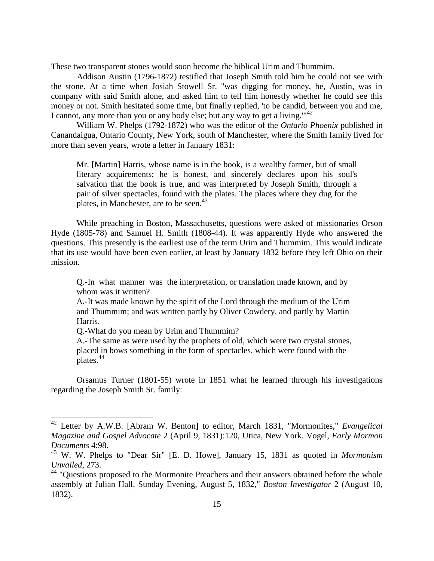These two transparent stones would soon become the biblical Urim and Thummim.

Addison Austin (1796-1872) testified that Joseph Smith told him he could not see with the stone. At a time when Josiah Stowell Sr. "was digging for money, he, Austin, was in company with said Smith alone, and asked him to tell him honestly whether he could see this money or not. Smith hesitated some time, but finally replied, 'to be candid, between you and me, I cannot, any more than you or any body else; but any way to get a living."<sup>42</sup>

William W. Phelps (1792-1872) who was the editor of the *Ontario Phoenix* published in Canandaigua, Ontario County, New York, south of Manchester, where the Smith family lived for more than seven years, wrote a letter in January 1831:

Mr. [Martin] Harris, whose name is in the book, is a wealthy farmer, but of small literary acquirements; he is honest, and sincerely declares upon his soul's salvation that the book is true, and was interpreted by Joseph Smith, through a pair of silver spectacles, found with the plates. The places where they dug for the plates, in Manchester, are to be seen. $43$ 

While preaching in Boston, Massachusetts, questions were asked of missionaries Orson Hyde (1805-78) and Samuel H. Smith (1808-44). It was apparently Hyde who answered the questions. This presently is the earliest use of the term Urim and Thummim. This would indicate that its use would have been even earlier, at least by January 1832 before they left Ohio on their mission.

Q.-In what manner was the interpretation, or translation made known, and by whom was it written?

A.-It was made known by the spirit of the Lord through the medium of the Urim and Thummim; and was written partly by Oliver Cowdery, and partly by Martin Harris.

Q.-What do you mean by Urim and Thummim?

 $\overline{a}$ 

A.-The same as were used by the prophets of old, which were two crystal stones, placed in bows something in the form of spectacles, which were found with the  $_{\text{plates.}}^{44}$ 

Orsamus Turner (1801-55) wrote in 1851 what he learned through his investigations regarding the Joseph Smith Sr. family:

<sup>42</sup> Letter by A.W.B. [Abram W. Benton] to editor, March 1831, "Mormonites," *Evangelical Magazine and Gospel Advocate* 2 (April 9, 1831):120, Utica, New York. Vogel, *Early Mormon Documents* 4:98.

<sup>43</sup> W. W. Phelps to "Dear Sir" [E. D. Howe], January 15, 1831 as quoted in *Mormonism Unvailed*, 273.

<sup>&</sup>lt;sup>44</sup> "Questions proposed to the Mormonite Preachers and their answers obtained before the whole assembly at Julian Hall, Sunday Evening, August 5, 1832," *Boston Investigator* 2 (August 10, 1832).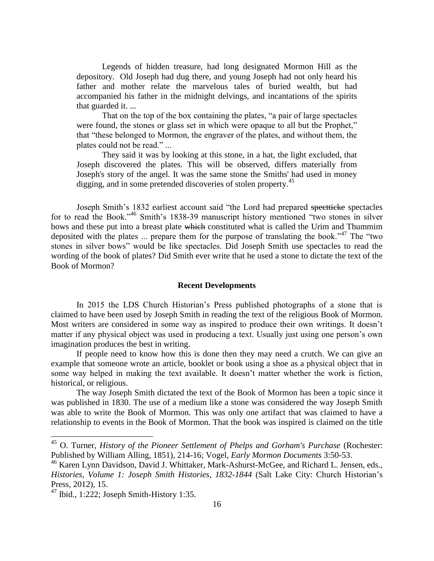Legends of hidden treasure, had long designated Mormon Hill as the depository. Old Joseph had dug there, and young Joseph had not only heard his father and mother relate the marvelous tales of buried wealth, but had accompanied his father in the midnight delvings, and incantations of the spirits that guarded it. ...

That on the top of the box containing the plates, "a pair of large spectacles were found, the stones or glass set in which were opaque to all but the Prophet," that "these belonged to Mormon, the engraver of the plates, and without them, the plates could not be read." ...

They said it was by looking at this stone, in a hat, the light excluded, that Joseph discovered the plates. This will be observed, differs materially from Joseph's story of the angel. It was the same stone the Smiths' had used in money digging, and in some pretended discoveries of stolen property.<sup>45</sup>

Joseph Smith's 1832 earliest account said "the Lord had prepared spectticke spectacles for to read the Book."<sup>46</sup> Smith's 1838-39 manuscript history mentioned "two stones in silver bows and these put into a breast plate which constituted what is called the Urim and Thummim deposited with the plates ... prepare them for the purpose of translating the book."<sup>47</sup> The "two stones in silver bows" would be like spectacles. Did Joseph Smith use spectacles to read the wording of the book of plates? Did Smith ever write that he used a stone to dictate the text of the Book of Mormon?

#### **Recent Developments**

In 2015 the LDS Church Historian's Press published photographs of a stone that is claimed to have been used by Joseph Smith in reading the text of the religious Book of Mormon. Most writers are considered in some way as inspired to produce their own writings. It doesn't matter if any physical object was used in producing a text. Usually just using one person's own imagination produces the best in writing.

If people need to know how this is done then they may need a crutch. We can give an example that someone wrote an article, booklet or book using a shoe as a physical object that in some way helped in making the text available. It doesn't matter whether the work is fiction, historical, or religious.

The way Joseph Smith dictated the text of the Book of Mormon has been a topic since it was published in 1830. The use of a medium like a stone was considered the way Joseph Smith was able to write the Book of Mormon. This was only one artifact that was claimed to have a relationship to events in the Book of Mormon. That the book was inspired is claimed on the title

 $\overline{\phantom{a}}$ 

<sup>45</sup> O. Turner, *History of the Pioneer Settlement of Phelps and Gorham's Purchase* (Rochester: Published by William Alling, 1851), 214-16; Vogel, *Early Mormon Documents* 3:50-53.

<sup>&</sup>lt;sup>46</sup> Karen Lynn Davidson, David J. Whittaker, Mark-Ashurst-McGee, and Richard L. Jensen, eds., *Histories, Volume 1: Joseph Smith Histories, 1832-1844* (Salt Lake City: Church Historian's Press, 2012), 15.

 $47$  Ibid., 1:222; Joseph Smith-History 1:35.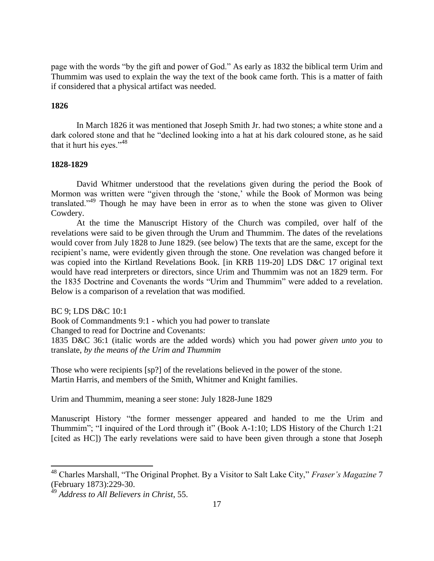page with the words "by the gift and power of God." As early as 1832 the biblical term Urim and Thummim was used to explain the way the text of the book came forth. This is a matter of faith if considered that a physical artifact was needed.

## **1826**

In March 1826 it was mentioned that Joseph Smith Jr. had two stones; a white stone and a dark colored stone and that he "declined looking into a hat at his dark coloured stone, as he said that it hurt his eyes."<sup>48</sup>

#### **1828-1829**

David Whitmer understood that the revelations given during the period the Book of Mormon was written were "given through the 'stone,' while the Book of Mormon was being translated."<sup>49</sup> Though he may have been in error as to when the stone was given to Oliver Cowdery.

At the time the Manuscript History of the Church was compiled, over half of the revelations were said to be given through the Urum and Thummim. The dates of the revelations would cover from July 1828 to June 1829. (see below) The texts that are the same, except for the recipient's name, were evidently given through the stone. One revelation was changed before it was copied into the Kirtland Revelations Book. [in KRB 119-20] LDS D&C 17 original text would have read interpreters or directors, since Urim and Thummim was not an 1829 term. For the 1835 Doctrine and Covenants the words "Urim and Thummim" were added to a revelation. Below is a comparison of a revelation that was modified.

#### BC 9; LDS D&C 10:1

l

Book of Commandments 9:1 - which you had power to translate

Changed to read for Doctrine and Covenants:

1835 D&C 36:1 (italic words are the added words) which you had power *given unto you* to translate, *by the means of the Urim and Thummim*

Those who were recipients [sp?] of the revelations believed in the power of the stone. Martin Harris, and members of the Smith, Whitmer and Knight families.

Urim and Thummim, meaning a seer stone: July 1828-June 1829

Manuscript History "the former messenger appeared and handed to me the Urim and Thummim"; "I inquired of the Lord through it" (Book A-1:10; LDS History of the Church 1:21 [cited as HC]) The early revelations were said to have been given through a stone that Joseph

<sup>48</sup> Charles Marshall, "The Original Prophet. By a Visitor to Salt Lake City," *Fraser's Magazine* 7 (February 1873):229-30.

<sup>49</sup> *Address to All Believers in Christ*, 55.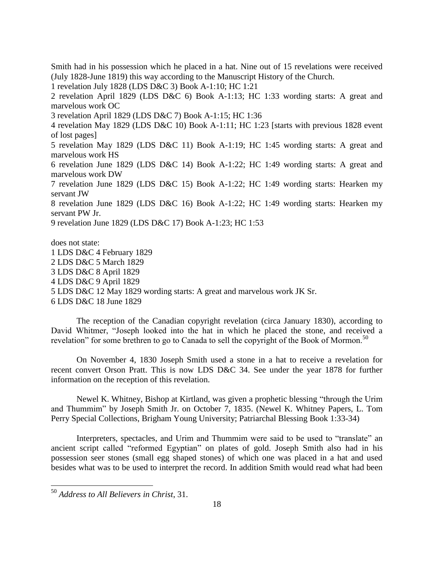Smith had in his possession which he placed in a hat. Nine out of 15 revelations were received (July 1828-June 1819) this way according to the Manuscript History of the Church.

1 revelation July 1828 (LDS D&C 3) Book A-1:10; HC 1:21

2 revelation April 1829 (LDS D&C 6) Book A-1:13; HC 1:33 wording starts: A great and marvelous work OC

3 revelation April 1829 (LDS D&C 7) Book A-1:15; HC 1:36

4 revelation May 1829 (LDS D&C 10) Book A-1:11; HC 1:23 [starts with previous 1828 event of lost pages]

5 revelation May 1829 (LDS D&C 11) Book A-1:19; HC 1:45 wording starts: A great and marvelous work HS

6 revelation June 1829 (LDS D&C 14) Book A-1:22; HC 1:49 wording starts: A great and marvelous work DW

7 revelation June 1829 (LDS D&C 15) Book A-1:22; HC 1:49 wording starts: Hearken my servant JW

8 revelation June 1829 (LDS D&C 16) Book A-1:22; HC 1:49 wording starts: Hearken my servant PW Jr.

9 revelation June 1829 (LDS D&C 17) Book A-1:23; HC 1:53

does not state: 1 LDS D&C 4 February 1829 2 LDS D&C 5 March 1829 3 LDS D&C 8 April 1829 4 LDS D&C 9 April 1829 5 LDS D&C 12 May 1829 wording starts: A great and marvelous work JK Sr. 6 LDS D&C 18 June 1829

The reception of the Canadian copyright revelation (circa January 1830), according to David Whitmer, "Joseph looked into the hat in which he placed the stone, and received a revelation" for some brethren to go to Canada to sell the copyright of the Book of Mormon.<sup>50</sup>

On November 4, 1830 Joseph Smith used a stone in a hat to receive a revelation for recent convert Orson Pratt. This is now LDS D&C 34. See under the year 1878 for further information on the reception of this revelation.

Newel K. Whitney, Bishop at Kirtland, was given a prophetic blessing "through the Urim and Thummim" by Joseph Smith Jr. on October 7, 1835. (Newel K. Whitney Papers, L. Tom Perry Special Collections, Brigham Young University; Patriarchal Blessing Book 1:33-34)

Interpreters, spectacles, and Urim and Thummim were said to be used to "translate" an ancient script called "reformed Egyptian" on plates of gold. Joseph Smith also had in his possession seer stones (small egg shaped stones) of which one was placed in a hat and used besides what was to be used to interpret the record. In addition Smith would read what had been

 $\overline{\phantom{a}}$ 

<sup>50</sup> *Address to All Believers in Christ*, 31.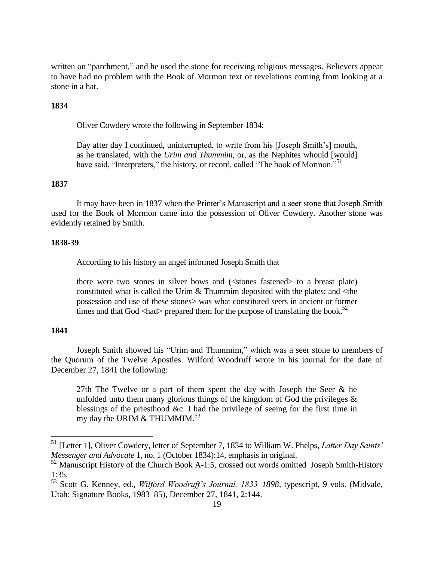written on "parchment," and he used the stone for receiving religious messages. Believers appear to have had no problem with the Book of Mormon text or revelations coming from looking at a stone in a hat.

## **1834**

Oliver Cowdery wrote the following in September 1834:

Day after day I continued, uninterrupted, to write from his [Joseph Smith's] mouth, as he translated, with the *Urim and Thummim*, or, as the Nephites whould [would] have said, "Interpreters," the history, or record, called "The book of Mormon."<sup>51</sup>

## **1837**

It may have been in 1837 when the Printer's Manuscript and a seer stone that Joseph Smith used for the Book of Mormon came into the possession of Oliver Cowdery. Another stone was evidently retained by Smith.

### **1838-39**

According to his history an angel informed Joseph Smith that

there were two stones in silver bows and (<stones fastened> to a breast plate) constituted what is called the Urim  $&$  Thummim deposited with the plates; and  $<$ the possession and use of these stones> was what constituted seers in ancient or former times and that God  $\langle$ had $\rangle$  prepared them for the purpose of translating the book.<sup>52</sup>

## **1841**

 $\overline{\phantom{a}}$ 

Joseph Smith showed his "Urim and Thummim," which was a seer stone to members of the Quorum of the Twelve Apostles. Wilford Woodruff wrote in his journal for the date of December 27, 1841 the following:

27th The Twelve or a part of them spent the day with Joseph the Seer & he unfolded unto them many glorious things of the kingdom of God the privileges  $\&$ blessings of the priesthood &c. I had the privilege of seeing for the first time in my day the URIM  $&$  THUMMIM.<sup>53</sup>

<sup>51</sup> [Letter 1], Oliver Cowdery, letter of September 7, 1834 to William W. Phelps, *Latter Day Saints' Messenger and Advocate* 1, no. 1 (October 1834):14, emphasis in original.

<sup>&</sup>lt;sup>52</sup> Manuscript History of the Church Book A-1:5, crossed out words omitted Joseph Smith-History 1:35.

<sup>53</sup> Scott G. Kenney, ed., *Wilford Woodruff's Journal, 1833–1898,* typescript, 9 vols. (Midvale, Utah: Signature Books, 1983–85), December 27, 1841, 2:144.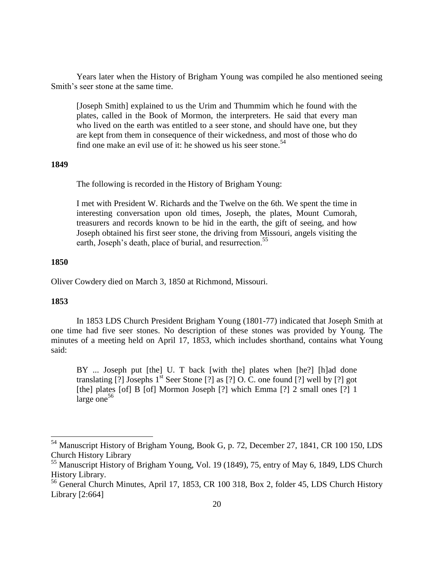Years later when the History of Brigham Young was compiled he also mentioned seeing Smith's seer stone at the same time.

[Joseph Smith] explained to us the Urim and Thummim which he found with the plates, called in the Book of Mormon, the interpreters. He said that every man who lived on the earth was entitled to a seer stone, and should have one, but they are kept from them in consequence of their wickedness, and most of those who do find one make an evil use of it: he showed us his seer stone.<sup>54</sup>

## **1849**

The following is recorded in the History of Brigham Young:

I met with President W. Richards and the Twelve on the 6th. We spent the time in interesting conversation upon old times, Joseph, the plates, Mount Cumorah, treasurers and records known to be hid in the earth, the gift of seeing, and how Joseph obtained his first seer stone, the driving from Missouri, angels visiting the earth, Joseph's death, place of burial, and resurrection.<sup>55</sup>

## **1850**

Oliver Cowdery died on March 3, 1850 at Richmond, Missouri.

#### **1853**

 $\overline{\phantom{a}}$ 

In 1853 LDS Church President Brigham Young (1801-77) indicated that Joseph Smith at one time had five seer stones. No description of these stones was provided by Young. The minutes of a meeting held on April 17, 1853, which includes shorthand, contains what Young said:

BY ... Joseph put [the] U. T back [with the] plates when [he?] [h]ad done translating  $[?]$  Josephs 1<sup>st</sup> Seer Stone  $[?]$  as  $[?]$  O. C. one found  $[?]$  well by  $[?]$  got [the] plates [of] B [of] Mormon Joseph [?] which Emma [?] 2 small ones [?] 1  $l$ arge one<sup>56</sup>

<sup>54</sup> Manuscript History of Brigham Young, Book G, p. 72, December 27, 1841, CR 100 150, LDS Church History Library

<sup>55</sup> Manuscript History of Brigham Young, Vol. 19 (1849), 75, entry of May 6, 1849, LDS Church History Library.

<sup>56</sup> General Church Minutes, April 17, 1853, CR 100 318, Box 2, folder 45, LDS Church History Library [2:664]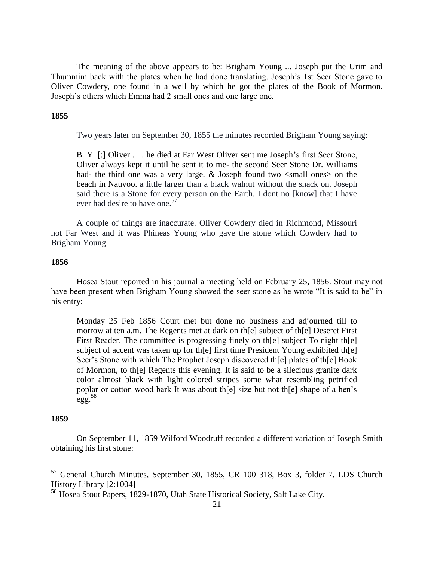The meaning of the above appears to be: Brigham Young ... Joseph put the Urim and Thummim back with the plates when he had done translating. Joseph's 1st Seer Stone gave to Oliver Cowdery, one found in a well by which he got the plates of the Book of Mormon. Joseph's others which Emma had 2 small ones and one large one.

#### **1855**

Two years later on September 30, 1855 the minutes recorded Brigham Young saying:

B. Y. [:] Oliver . . . he died at Far West Oliver sent me Joseph's first Seer Stone, Oliver always kept it until he sent it to me- the second Seer Stone Dr. Williams had- the third one was a very large.  $& Joseph found two *small ones* on the$ beach in Nauvoo. a little larger than a black walnut without the shack on. Joseph said there is a Stone for every person on the Earth. I dont no [know] that I have ever had desire to have one.<sup>57</sup>

A couple of things are inaccurate. Oliver Cowdery died in Richmond, Missouri not Far West and it was Phineas Young who gave the stone which Cowdery had to Brigham Young.

#### **1856**

Hosea Stout reported in his journal a meeting held on February 25, 1856. Stout may not have been present when Brigham Young showed the seer stone as he wrote "It is said to be" in his entry:

Monday 25 Feb 1856 Court met but done no business and adjourned till to morrow at ten a.m. The Regents met at dark on th[e] subject of th[e] Deseret First First Reader. The committee is progressing finely on the subject To night the subject of accent was taken up for th[e] first time President Young exhibited th[e] Seer's Stone with which The Prophet Joseph discovered th[e] plates of th[e] Book of Mormon, to th[e] Regents this evening. It is said to be a silecious granite dark color almost black with light colored stripes some what resembling petrified poplar or cotton wood bark It was about th[e] size but not th[e] shape of a hen's  $egg.<sup>58</sup>$ 

#### **1859**

l

On September 11, 1859 Wilford Woodruff recorded a different variation of Joseph Smith obtaining his first stone:

<sup>&</sup>lt;sup>57</sup> General Church Minutes, September 30, 1855, CR 100 318, Box 3, folder 7, LDS Church History Library [2:1004]

<sup>&</sup>lt;sup>58</sup> Hosea Stout Papers, 1829-1870, Utah State Historical Society, Salt Lake City.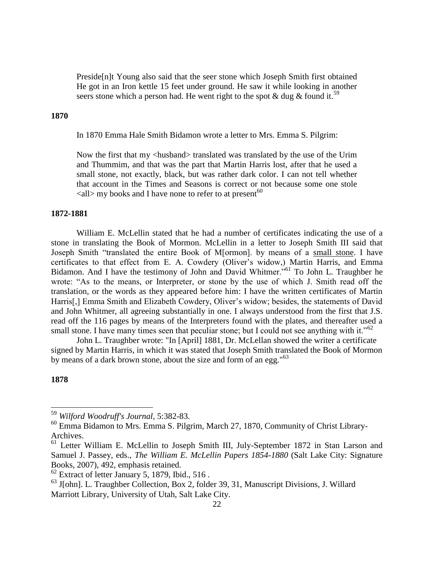Preside[n]t Young also said that the seer stone which Joseph Smith first obtained He got in an Iron kettle 15 feet under ground. He saw it while looking in another seers stone which a person had. He went right to the spot & dug & found it.<sup>59</sup>

#### **1870**

In 1870 Emma Hale Smith Bidamon wrote a letter to Mrs. Emma S. Pilgrim:

Now the first that my <husband> translated was translated by the use of the Urim and Thummim, and that was the part that Martin Harris lost, after that he used a small stone, not exactly, black, but was rather dark color. I can not tell whether that account in the Times and Seasons is correct or not because some one stole  $\langle$  all $>$  my books and I have none to refer to at present<sup>60</sup>

#### **1872-1881**

William E. McLellin stated that he had a number of certificates indicating the use of a stone in translating the Book of Mormon. McLellin in a letter to Joseph Smith III said that Joseph Smith "translated the entire Book of M[ormon]. by means of a small stone. I have certificates to that effect from E. A. Cowdery (Oliver's widow,) Martin Harris, and Emma Bidamon. And I have the testimony of John and David Whitmer.<sup>561</sup> To John L. Traughber he wrote: "As to the means, or Interpreter, or stone by the use of which J. Smith read off the translation, or the words as they appeared before him: I have the written certificates of Martin Harris[,] Emma Smith and Elizabeth Cowdery, Oliver's widow; besides, the statements of David and John Whitmer, all agreeing substantially in one. I always understood from the first that J.S. read off the 116 pages by means of the Interpreters found with the plates, and thereafter used a small stone. I have many times seen that peculiar stone; but I could not see anything with it."<sup>62</sup>

John L. Traughber wrote: "In [April] 1881, Dr. McLellan showed the writer a certificate signed by Martin Harris, in which it was stated that Joseph Smith translated the Book of Mormon by means of a dark brown stone, about the size and form of an egg."<sup>63</sup>

#### **1878**

l

<sup>59</sup> *Wilford Woodruff's Journal*, 5:382-83.

<sup>60</sup> Emma Bidamon to Mrs. Emma S. Pilgrim, March 27, 1870, Community of Christ Library-Archives.

<sup>&</sup>lt;sup>61</sup> Letter William E. McLellin to Joseph Smith III, July-September 1872 in Stan Larson and Samuel J. Passey, eds., *The William E. McLellin Papers 1854-1880* (Salt Lake City: Signature Books, 2007), 492, emphasis retained.

 $62$  Extract of letter January 5, 1879, Ibid., 516.

<sup>63</sup> J[ohn]. L. Traughber Collection, Box 2, folder 39, 31, Manuscript Divisions, J. Willard Marriott Library, University of Utah, Salt Lake City.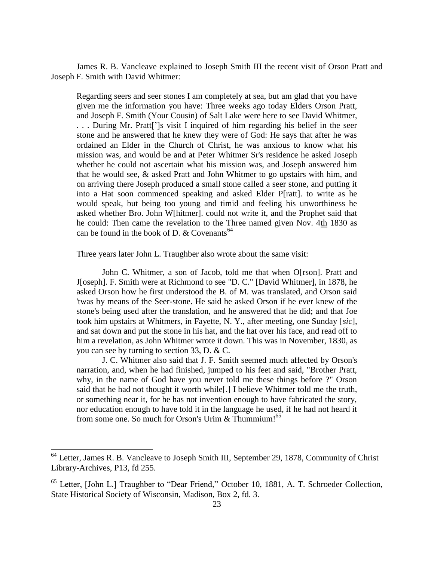James R. B. Vancleave explained to Joseph Smith III the recent visit of Orson Pratt and Joseph F. Smith with David Whitmer:

Regarding seers and seer stones I am completely at sea, but am glad that you have given me the information you have: Three weeks ago today Elders Orson Pratt, and Joseph F. Smith (Your Cousin) of Salt Lake were here to see David Whitmer, . . . During Mr. Pratt[']s visit I inquired of him regarding his belief in the seer stone and he answered that he knew they were of God: He says that after he was ordained an Elder in the Church of Christ, he was anxious to know what his mission was, and would be and at Peter Whitmer Sr's residence he asked Joseph whether he could not ascertain what his mission was, and Joseph answered him that he would see, & asked Pratt and John Whitmer to go upstairs with him, and on arriving there Joseph produced a small stone called a seer stone, and putting it into a Hat soon commenced speaking and asked Elder P[ratt]. to write as he would speak, but being too young and timid and feeling his unworthiness he asked whether Bro. John W[hitmer]. could not write it, and the Prophet said that he could: Then came the revelation to the Three named given Nov. 4th 1830 as can be found in the book of D.  $&$  Covenants<sup>64</sup>

Three years later John L. Traughber also wrote about the same visit:

John C. Whitmer, a son of Jacob, told me that when O[rson]. Pratt and J[oseph]. F. Smith were at Richmond to see "D. C." [David Whitmer], in 1878, he asked Orson how he first understood the B. of M. was translated, and Orson said 'twas by means of the Seer-stone. He said he asked Orson if he ever knew of the stone's being used after the translation, and he answered that he did; and that Joe took him upstairs at Whitmers, in Fayette, N. Y., after meeting, one Sunday [*sic*], and sat down and put the stone in his hat, and the hat over his face, and read off to him a revelation, as John Whitmer wrote it down. This was in November, 1830, as you can see by turning to section 33, D. & C.

J. C. Whitmer also said that J. F. Smith seemed much affected by Orson's narration, and, when he had finished, jumped to his feet and said, "Brother Pratt, why, in the name of God have you never told me these things before ?" Orson said that he had not thought it worth while[.] I believe Whitmer told me the truth, or something near it, for he has not invention enough to have fabricated the story, nor education enough to have told it in the language he used, if he had not heard it from some one. So much for Orson's Urim  $\&$  Thummium!<sup>65</sup>

 $\overline{\phantom{a}}$ 

<sup>&</sup>lt;sup>64</sup> Letter, James R. B. Vancleave to Joseph Smith III, September 29, 1878, Community of Christ Library-Archives, P13, fd 255.

<sup>65</sup> Letter, [John L.] Traughber to "Dear Friend," October 10, 1881, A. T. Schroeder Collection, State Historical Society of Wisconsin, Madison, Box 2, fd. 3.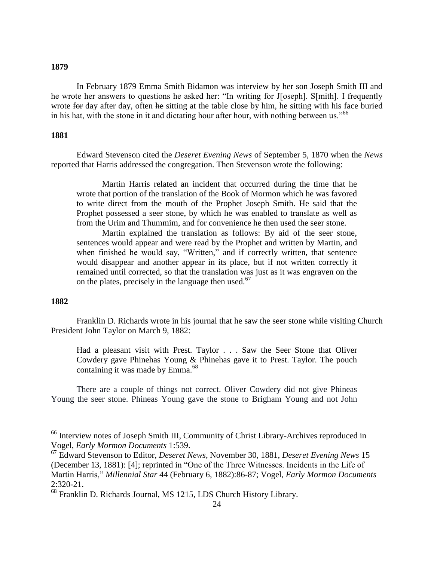#### **1879**

In February 1879 Emma Smith Bidamon was interview by her son Joseph Smith III and he wrote her answers to questions he asked her: "In writing for J[oseph]. S[mith]. I frequently wrote for day after day, often he sitting at the table close by him, he sitting with his face buried in his hat, with the stone in it and dictating hour after hour, with nothing between us.<sup> $16$ </sup>

#### **1881**

Edward Stevenson cited the *Deseret Evening News* of September 5, 1870 when the *News* reported that Harris addressed the congregation. Then Stevenson wrote the following:

Martin Harris related an incident that occurred during the time that he wrote that portion of the translation of the Book of Mormon which he was favored to write direct from the mouth of the Prophet Joseph Smith. He said that the Prophet possessed a seer stone, by which he was enabled to translate as well as from the Urim and Thummim, and for convenience he then used the seer stone.

Martin explained the translation as follows: By aid of the seer stone, sentences would appear and were read by the Prophet and written by Martin, and when finished he would say, "Written," and if correctly written, that sentence would disappear and another appear in its place, but if not written correctly it remained until corrected, so that the translation was just as it was engraven on the on the plates, precisely in the language then used. $67$ 

#### **1882**

 $\overline{a}$ 

Franklin D. Richards wrote in his journal that he saw the seer stone while visiting Church President John Taylor on March 9, 1882:

Had a pleasant visit with Prest. Taylor . . . Saw the Seer Stone that Oliver Cowdery gave Phinehas Young & Phinehas gave it to Prest. Taylor. The pouch containing it was made by  $Emma<sup>68</sup>$ .

There are a couple of things not correct. Oliver Cowdery did not give Phineas Young the seer stone. Phineas Young gave the stone to Brigham Young and not John

<sup>&</sup>lt;sup>66</sup> Interview notes of Joseph Smith III, Community of Christ Library-Archives reproduced in Vogel, *Early Mormon Documents* 1:539.

<sup>67</sup> Edward Stevenson to Editor*, Deseret News*, November 30, 1881, *Deseret Evening News* 15 (December 13, 1881): [4]; reprinted in "One of the Three Witnesses. Incidents in the Life of Martin Harris," *Millennial Star* 44 (February 6, 1882):86-87; Vogel, *Early Mormon Documents*   $2:320-21$ .

<sup>68</sup> Franklin D. Richards Journal, MS 1215, LDS Church History Library.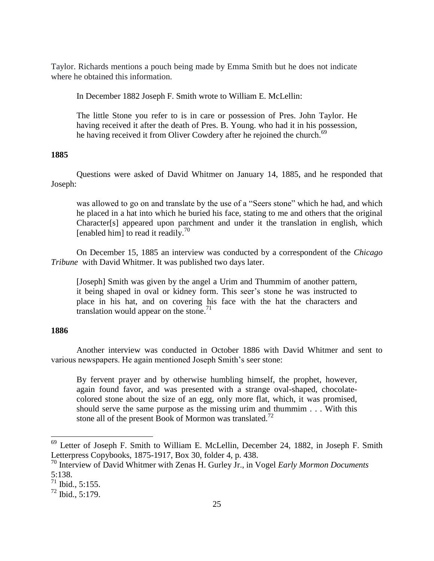Taylor. Richards mentions a pouch being made by Emma Smith but he does not indicate where he obtained this information.

In December 1882 Joseph F. Smith wrote to William E. McLellin:

The little Stone you refer to is in care or possession of Pres. John Taylor. He having received it after the death of Pres. B. Young. who had it in his possession, he having received it from Oliver Cowdery after he rejoined the church.<sup>69</sup>

#### **1885**

Questions were asked of David Whitmer on January 14, 1885, and he responded that Joseph:

was allowed to go on and translate by the use of a "Seers stone" which he had, and which he placed in a hat into which he buried his face, stating to me and others that the original Character[s] appeared upon parchment and under it the translation in english, which [enabled him] to read it readily.<sup>70</sup>

On December 15, 1885 an interview was conducted by a correspondent of the *Chicago Tribune* with David Whitmer. It was published two days later.

[Joseph] Smith was given by the angel a Urim and Thummim of another pattern, it being shaped in oval or kidney form. This seer's stone he was instructed to place in his hat, and on covering his face with the hat the characters and translation would appear on the stone.<sup>71</sup>

#### **1886**

 $\overline{\phantom{a}}$ 

Another interview was conducted in October 1886 with David Whitmer and sent to various newspapers. He again mentioned Joseph Smith's seer stone:

By fervent prayer and by otherwise humbling himself, the prophet, however, again found favor, and was presented with a strange oval-shaped, chocolatecolored stone about the size of an egg, only more flat, which, it was promised, should serve the same purpose as the missing urim and thummim . . . With this stone all of the present Book of Mormon was translated.<sup>72</sup>

<sup>&</sup>lt;sup>69</sup> Letter of Joseph F. Smith to William E. McLellin, December 24, 1882, in Joseph F. Smith Letterpress Copybooks, 1875-1917, Box 30, folder 4, p. 438.

<sup>70</sup> Interview of David Whitmer with Zenas H. Gurley Jr., in Vogel *Early Mormon Documents* 5:138.

 $71$  Ibid., 5:155.

<sup>72</sup> Ibid., 5:179.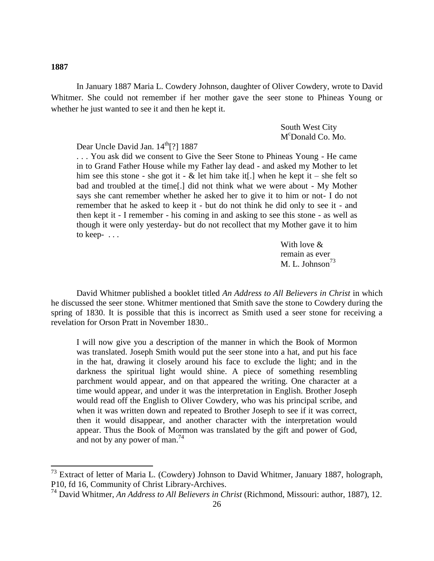l

In January 1887 Maria L. Cowdery Johnson, daughter of Oliver Cowdery, wrote to David Whitmer. She could not remember if her mother gave the seer stone to Phineas Young or whether he just wanted to see it and then he kept it.

> South West City M <sup>c</sup>Donald Co. Mo.

Dear Uncle David Jan.  $14^{th}$ [?] 1887

. . . You ask did we consent to Give the Seer Stone to Phineas Young - He came in to Grand Father House while my Father lay dead - and asked my Mother to let him see this stone - she got it -  $\&$  let him take it. when he kept it – she felt so bad and troubled at the time[.] did not think what we were about - My Mother says she cant remember whether he asked her to give it to him or not- I do not remember that he asked to keep it - but do not think he did only to see it - and then kept it - I remember - his coming in and asking to see this stone - as well as though it were only yesterday- but do not recollect that my Mother gave it to him to keep- . . .

> With love & remain as ever M. L. Johnson<sup>73</sup>

David Whitmer published a booklet titled *An Address to All Believers in Christ* in which he discussed the seer stone. Whitmer mentioned that Smith save the stone to Cowdery during the spring of 1830. It is possible that this is incorrect as Smith used a seer stone for receiving a revelation for Orson Pratt in November 1830..

I will now give you a description of the manner in which the Book of Mormon was translated. Joseph Smith would put the seer stone into a hat, and put his face in the hat, drawing it closely around his face to exclude the light; and in the darkness the spiritual light would shine. A piece of something resembling parchment would appear, and on that appeared the writing. One character at a time would appear, and under it was the interpretation in English. Brother Joseph would read off the English to Oliver Cowdery, who was his principal scribe, and when it was written down and repeated to Brother Joseph to see if it was correct, then it would disappear, and another character with the interpretation would appear. Thus the Book of Mormon was translated by the gift and power of God, and not by any power of man.<sup>74</sup>

 $^{73}$  Extract of letter of Maria L. (Cowdery) Johnson to David Whitmer, January 1887, holograph, P10, fd 16, Community of Christ Library-Archives.

<sup>74</sup> David Whitmer, *An Address to All Believers in Christ* (Richmond, Missouri: author, 1887), 12.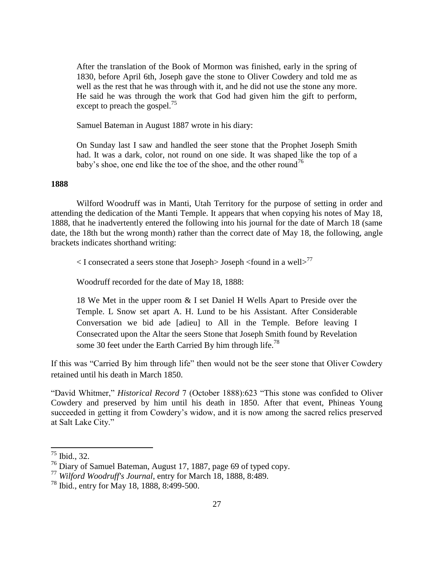After the translation of the Book of Mormon was finished, early in the spring of 1830, before April 6th, Joseph gave the stone to Oliver Cowdery and told me as well as the rest that he was through with it, and he did not use the stone any more. He said he was through the work that God had given him the gift to perform, except to preach the gospel.<sup>75</sup>

Samuel Bateman in August 1887 wrote in his diary:

On Sunday last I saw and handled the seer stone that the Prophet Joseph Smith had. It was a dark, color, not round on one side. It was shaped like the top of a baby's shoe, one end like the toe of the shoe, and the other round<sup>76</sup>

## **1888**

Wilford Woodruff was in Manti, Utah Territory for the purpose of setting in order and attending the dedication of the Manti Temple. It appears that when copying his notes of May 18, 1888, that he inadvertently entered the following into his journal for the date of March 18 (same date, the 18th but the wrong month) rather than the correct date of May 18, the following, angle brackets indicates shorthand writing:

 $\langle$  I consecrated a seers stone that Joseph > Joseph  $\langle$  found in a well $>^{77}$ 

Woodruff recorded for the date of May 18, 1888:

18 We Met in the upper room & I set Daniel H Wells Apart to Preside over the Temple. L Snow set apart A. H. Lund to be his Assistant. After Considerable Conversation we bid ade [adieu] to All in the Temple. Before leaving I Consecrated upon the Altar the seers Stone that Joseph Smith found by Revelation some 30 feet under the Earth Carried By him through life.<sup>78</sup>

If this was "Carried By him through life" then would not be the seer stone that Oliver Cowdery retained until his death in March 1850.

"David Whitmer," *Historical Record* 7 (October 1888):623 "This stone was confided to Oliver Cowdery and preserved by him until his death in 1850. After that event, Phineas Young succeeded in getting it from Cowdery's widow, and it is now among the sacred relics preserved at Salt Lake City."

 $\overline{a}$ 

 $^{75}$  Ibid., 32.

<sup>76</sup> Diary of Samuel Bateman, August 17, 1887, page 69 of typed copy.

<sup>77</sup> *Wilford Woodruff's Journal*, entry for March 18, 1888, 8:489.

<sup>78</sup> Ibid., entry for May 18, 1888, 8:499-500.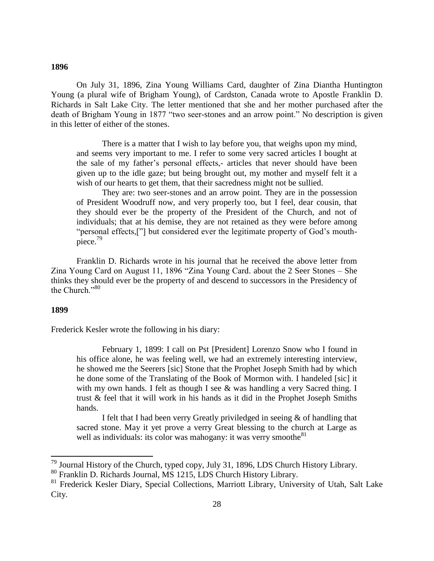#### **1896**

On July 31, 1896, Zina Young Williams Card, daughter of Zina Diantha Huntington Young (a plural wife of Brigham Young), of Cardston, Canada wrote to Apostle Franklin D. Richards in Salt Lake City. The letter mentioned that she and her mother purchased after the death of Brigham Young in 1877 "two seer-stones and an arrow point." No description is given in this letter of either of the stones.

There is a matter that I wish to lay before you, that weighs upon my mind, and seems very important to me. I refer to some very sacred articles I bought at the sale of my father's personal effects,- articles that never should have been given up to the idle gaze; but being brought out, my mother and myself felt it a wish of our hearts to get them, that their sacredness might not be sullied.

They are: two seer-stones and an arrow point. They are in the possession of President Woodruff now, and very properly too, but I feel, dear cousin, that they should ever be the property of the President of the Church, and not of individuals; that at his demise, they are not retained as they were before among "personal effects,["] but considered ever the legitimate property of God's mouthpiece.<sup>79</sup>

Franklin D. Richards wrote in his journal that he received the above letter from Zina Young Card on August 11, 1896 "Zina Young Card. about the 2 Seer Stones – She thinks they should ever be the property of and descend to successors in the Presidency of the Church."<sup>80</sup>

#### **1899**

 $\overline{\phantom{a}}$ 

Frederick Kesler wrote the following in his diary:

February 1, 1899: I call on Pst [President] Lorenzo Snow who I found in his office alone, he was feeling well, we had an extremely interesting interview, he showed me the Seerers [sic] Stone that the Prophet Joseph Smith had by which he done some of the Translating of the Book of Mormon with. I handeled [sic] it with my own hands. I felt as though I see & was handling a very Sacred thing. I trust & feel that it will work in his hands as it did in the Prophet Joseph Smiths hands.

I felt that I had been verry Greatly priviledged in seeing & of handling that sacred stone. May it yet prove a verry Great blessing to the church at Large as well as individuals: its color was mahogany: it was verry smoothe $81$ 

 $79$  Journal History of the Church, typed copy, July 31, 1896, LDS Church History Library.

<sup>80</sup> Franklin D. Richards Journal, MS 1215, LDS Church History Library.

<sup>&</sup>lt;sup>81</sup> Frederick Kesler Diary, Special Collections, Marriott Library, University of Utah, Salt Lake City.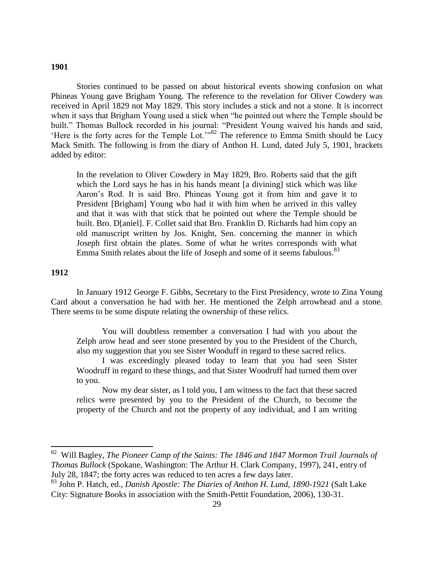#### **1901**

Stories continued to be passed on about historical events showing confusion on what Phineas Young gave Brigham Young. The reference to the revelation for Oliver Cowdery was received in April 1829 not May 1829. This story includes a stick and not a stone. It is incorrect when it says that Brigham Young used a stick when "he pointed out where the Temple should be built." Thomas Bullock recorded in his journal: "President Young waived his hands and said, 'Here is the forty acres for the Temple Lot.'"<sup>82</sup> The reference to Emma Smith should be Lucy Mack Smith. The following is from the diary of Anthon H. Lund, dated July 5, 1901, brackets added by editor:

In the revelation to Oliver Cowdery in May 1829, Bro. Roberts said that the gift which the Lord says he has in his hands meant [a divining] stick which was like Aaron's Rod. It is said Bro. Phineas Young got it from him and gave it to President [Brigham] Young who had it with him when he arrived in this valley and that it was with that stick that he pointed out where the Temple should be built. Bro. D[aniel]. F. Collet said that Bro. Franklin D. Richards had him copy an old manuscript written by Jos. Knight, Sen. concerning the manner in which Joseph first obtain the plates. Some of what he writes corresponds with what Emma Smith relates about the life of Joseph and some of it seems fabulous.<sup>83</sup>

#### **1912**

 $\overline{\phantom{a}}$ 

In January 1912 George F. Gibbs, Secretary to the First Presidency, wrote to Zina Young Card about a conversation he had with her. He mentioned the Zelph arrowhead and a stone. There seems to be some dispute relating the ownership of these relics.

You will doubtless remember a conversation I had with you about the Zelph arow head and seer stone presented by you to the President of the Church, also my suggestion that you see Sister Wooduff in regard to these sacred relics.

I was exceedingly pleased today to learn that you had seen Sister Woodruff in regard to these things, and that Sister Woodruff had turned them over to you.

Now my dear sister, as I told you, I am witness to the fact that these sacred relics were presented by you to the President of the Church, to become the property of the Church and not the property of any individual, and I am writing

<sup>82</sup> Will Bagley, *The Pioneer Camp of the Saints: The 1846 and 1847 Mormon Trail Journals of Thomas Bullock* (Spokane, Washington: The Arthur H. Clark Company, 1997), 241, entry of July 28, 1847; the forty acres was reduced to ten acres a few days later.

<sup>83</sup> John P. Hatch, ed., *Danish Apostle: The Diaries of Anthon H. Lund, 1890-1921* (Salt Lake City: Signature Books in association with the Smith-Pettit Foundation, 2006), 130-31.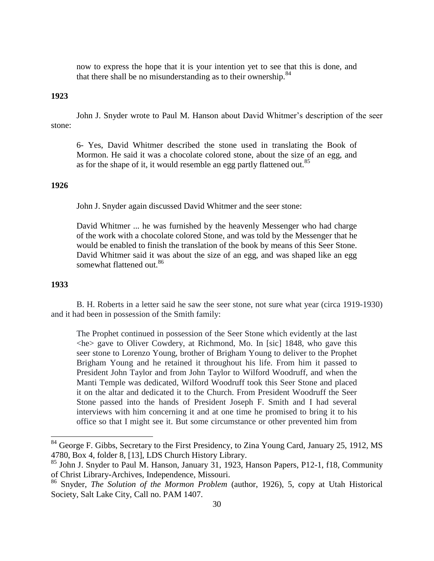now to express the hope that it is your intention yet to see that this is done, and that there shall be no misunderstanding as to their ownership. $84$ 

## **1923**

John J. Snyder wrote to Paul M. Hanson about David Whitmer's description of the seer stone:

6- Yes, David Whitmer described the stone used in translating the Book of Mormon. He said it was a chocolate colored stone, about the size of an egg, and as for the shape of it, it would resemble an egg partly flattened out.<sup>85</sup>

## **1926**

John J. Snyder again discussed David Whitmer and the seer stone:

David Whitmer ... he was furnished by the heavenly Messenger who had charge of the work with a chocolate colored Stone, and was told by the Messenger that he would be enabled to finish the translation of the book by means of this Seer Stone. David Whitmer said it was about the size of an egg, and was shaped like an egg somewhat flattened out.<sup>86</sup>

## **1933**

 $\overline{\phantom{a}}$ 

B. H. Roberts in a letter said he saw the seer stone, not sure what year (circa 1919-1930) and it had been in possession of the Smith family:

The Prophet continued in possession of the Seer Stone which evidently at the last  $\langle$ he> gave to Oliver Cowdery, at Richmond, Mo. In [sic] 1848, who gave this seer stone to Lorenzo Young, brother of Brigham Young to deliver to the Prophet Brigham Young and he retained it throughout his life. From him it passed to President John Taylor and from John Taylor to Wilford Woodruff, and when the Manti Temple was dedicated, Wilford Woodruff took this Seer Stone and placed it on the altar and dedicated it to the Church. From President Woodruff the Seer Stone passed into the hands of President Joseph F. Smith and I had several interviews with him concerning it and at one time he promised to bring it to his office so that I might see it. But some circumstance or other prevented him from

<sup>&</sup>lt;sup>84</sup> George F. Gibbs, Secretary to the First Presidency, to Zina Young Card, January 25, 1912, MS 4780, Box 4, folder 8, [13], LDS Church History Library.

<sup>&</sup>lt;sup>85</sup> John J. Snyder to Paul M. Hanson, January 31, 1923, Hanson Papers, P12-1, f18, Community of Christ Library-Archives, Independence, Missouri.

<sup>86</sup> Snyder, *The Solution of the Mormon Problem* (author, 1926), 5, copy at Utah Historical Society, Salt Lake City, Call no. PAM 1407.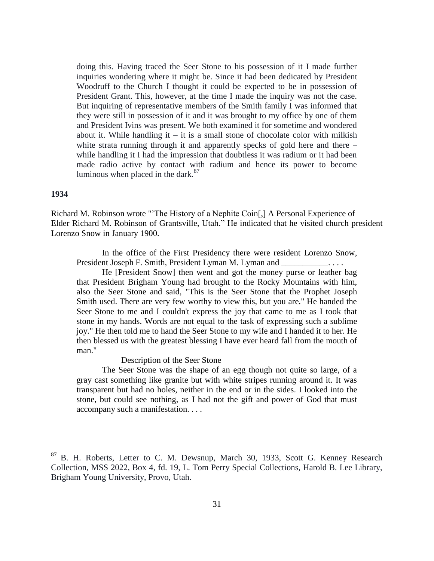doing this. Having traced the Seer Stone to his possession of it I made further inquiries wondering where it might be. Since it had been dedicated by President Woodruff to the Church I thought it could be expected to be in possession of President Grant. This, however, at the time I made the inquiry was not the case. But inquiring of representative members of the Smith family I was informed that they were still in possession of it and it was brought to my office by one of them and President Ivins was present. We both examined it for sometime and wondered about it. While handling it  $-$  it is a small stone of chocolate color with milkish white strata running through it and apparently specks of gold here and there – while handling it I had the impression that doubtless it was radium or it had been made radio active by contact with radium and hence its power to become luminous when placed in the dark.<sup>87</sup>

#### **1934**

 $\overline{\phantom{a}}$ 

Richard M. Robinson wrote "'The History of a Nephite Coin[,] A Personal Experience of Elder Richard M. Robinson of Grantsville, Utah." He indicated that he visited church president Lorenzo Snow in January 1900.

In the office of the First Presidency there were resident Lorenzo Snow, President Joseph F. Smith, President Lyman M. Lyman and \_\_\_\_\_\_\_\_\_\_\_\_\_\_\_\_\_\_\_\_\_\_\_\_\_

He [President Snow] then went and got the money purse or leather bag that President Brigham Young had brought to the Rocky Mountains with him, also the Seer Stone and said, "This is the Seer Stone that the Prophet Joseph Smith used. There are very few worthy to view this, but you are." He handed the Seer Stone to me and I couldn't express the joy that came to me as I took that stone in my hands. Words are not equal to the task of expressing such a sublime joy." He then told me to hand the Seer Stone to my wife and I handed it to her. He then blessed us with the greatest blessing I have ever heard fall from the mouth of man."

Description of the Seer Stone

The Seer Stone was the shape of an egg though not quite so large, of a gray cast something like granite but with white stripes running around it. It was transparent but had no holes, neither in the end or in the sides. I looked into the stone, but could see nothing, as I had not the gift and power of God that must accompany such a manifestation. . . .

 $87$  B. H. Roberts, Letter to C. M. Dewsnup, March 30, 1933, Scott G. Kenney Research Collection, MSS 2022, Box 4, fd. 19, L. Tom Perry Special Collections, Harold B. Lee Library, Brigham Young University, Provo, Utah.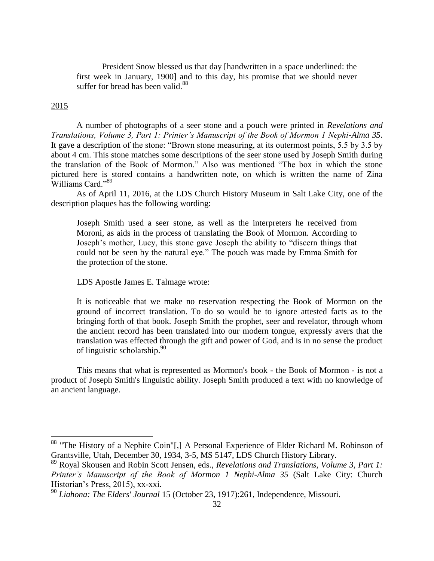President Snow blessed us that day [handwritten in a space underlined: the first week in January, 1900] and to this day, his promise that we should never suffer for bread has been valid.<sup>88</sup>

## 2015

 $\overline{\phantom{a}}$ 

A number of photographs of a seer stone and a pouch were printed in *Revelations and Translations, Volume 3, Part 1: Printer's Manuscript of the Book of Mormon 1 Nephi-Alma 35*. It gave a description of the stone: "Brown stone measuring, at its outermost points, 5.5 by 3.5 by about 4 cm. This stone matches some descriptions of the seer stone used by Joseph Smith during the translation of the Book of Mormon." Also was mentioned "The box in which the stone pictured here is stored contains a handwritten note, on which is written the name of Zina Williams Card."<sup>89</sup>

As of April 11, 2016, at the LDS Church History Museum in Salt Lake City, one of the description plaques has the following wording:

Joseph Smith used a seer stone, as well as the interpreters he received from Moroni, as aids in the process of translating the Book of Mormon. According to Joseph's mother, Lucy, this stone gave Joseph the ability to "discern things that could not be seen by the natural eye." The pouch was made by Emma Smith for the protection of the stone.

LDS Apostle James E. Talmage wrote:

It is noticeable that we make no reservation respecting the Book of Mormon on the ground of incorrect translation. To do so would be to ignore attested facts as to the bringing forth of that book. Joseph Smith the prophet, seer and revelator, through whom the ancient record has been translated into our modern tongue, expressly avers that the translation was effected through the gift and power of God, and is in no sense the product of linguistic scholarship.<sup>90</sup>

This means that what is represented as Mormon's book - the Book of Mormon - is not a product of Joseph Smith's linguistic ability. Joseph Smith produced a text with no knowledge of an ancient language.

<sup>&</sup>lt;sup>88</sup> "The History of a Nephite Coin"[,] A Personal Experience of Elder Richard M. Robinson of Grantsville, Utah, December 30, 1934, 3-5, MS 5147, LDS Church History Library.

<sup>89</sup> Royal Skousen and Robin Scott Jensen, eds., *Revelations and Translations, Volume 3, Part 1: Printer's Manuscript of the Book of Mormon 1 Nephi-Alma 35* (Salt Lake City: Church Historian's Press, 2015), xx-xxi.

<sup>90</sup> *Liahona: The Elders' Journal* 15 (October 23, 1917):261, Independence, Missouri.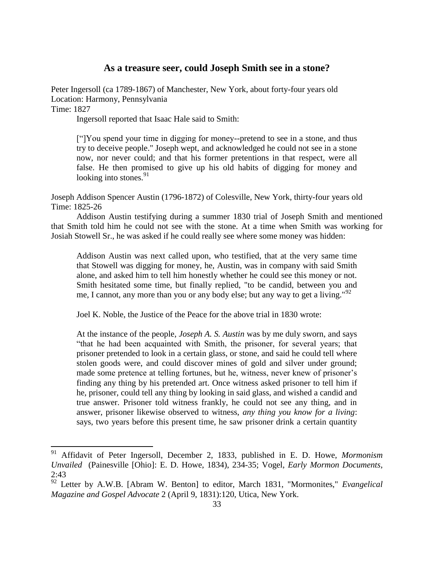## **As a treasure seer, could Joseph Smith see in a stone?**

Peter Ingersoll (ca 1789-1867) of Manchester, New York, about forty-four years old Location: Harmony, Pennsylvania

Time: 1827

 $\overline{\phantom{a}}$ 

Ingersoll reported that Isaac Hale said to Smith:

["]You spend your time in digging for money--pretend to see in a stone, and thus try to deceive people." Joseph wept, and acknowledged he could not see in a stone now, nor never could; and that his former pretentions in that respect, were all false. He then promised to give up his old habits of digging for money and looking into stones. $91$ 

Joseph Addison Spencer Austin (1796-1872) of Colesville, New York, thirty-four years old Time: 1825-26

Addison Austin testifying during a summer 1830 trial of Joseph Smith and mentioned that Smith told him he could not see with the stone. At a time when Smith was working for Josiah Stowell Sr., he was asked if he could really see where some money was hidden:

Addison Austin was next called upon, who testified, that at the very same time that Stowell was digging for money, he, Austin, was in company with said Smith alone, and asked him to tell him honestly whether he could see this money or not. Smith hesitated some time, but finally replied, "to be candid, between you and me, I cannot, any more than you or any body else; but any way to get a living."<sup>92</sup>

Joel K. Noble, the Justice of the Peace for the above trial in 1830 wrote:

At the instance of the people, *Joseph A. S. Austin* was by me duly sworn, and says "that he had been acquainted with Smith, the prisoner, for several years; that prisoner pretended to look in a certain glass, or stone, and said he could tell where stolen goods were, and could discover mines of gold and silver under ground; made some pretence at telling fortunes, but he, witness, never knew of prisoner's finding any thing by his pretended art. Once witness asked prisoner to tell him if he, prisoner, could tell any thing by looking in said glass, and wished a candid and true answer. Prisoner told witness frankly, he could not see any thing, and in answer, prisoner likewise observed to witness, *any thing you know for a living*: says, two years before this present time, he saw prisoner drink a certain quantity

<sup>91</sup> Affidavit of Peter Ingersoll, December 2, 1833, published in E. D. Howe, *Mormonism Unvailed* (Painesville [Ohio]: E. D. Howe, 1834), 234-35; Vogel, *Early Mormon Documents*, 2:43

<sup>&</sup>lt;sup>92</sup> Letter by A.W.B. [Abram W. Benton] to editor, March 1831, "Mormonites," *Evangelical Magazine and Gospel Advocate* 2 (April 9, 1831):120, Utica, New York.